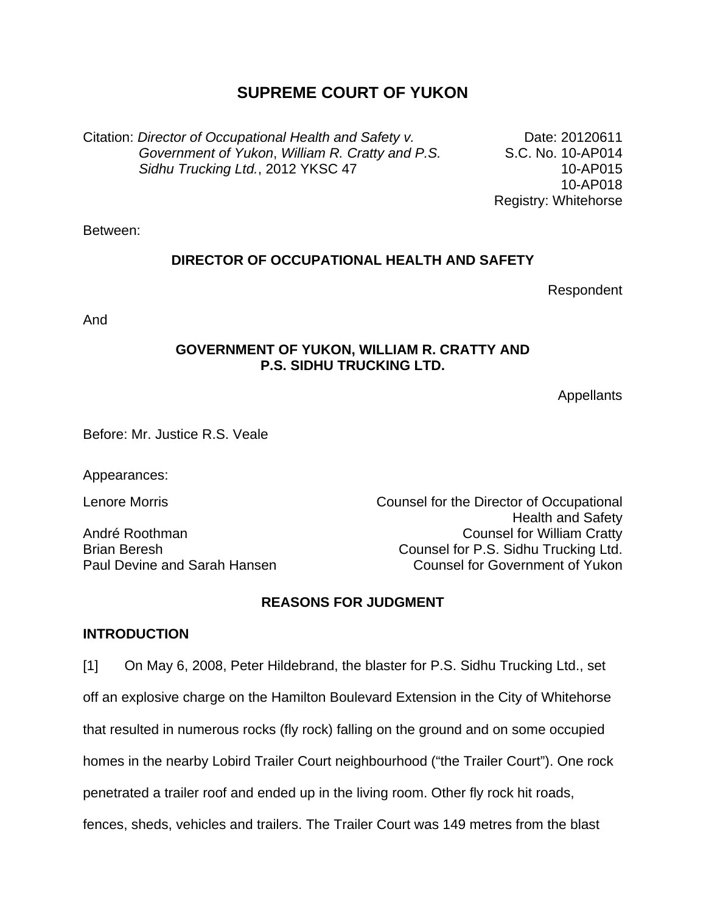# **SUPREME COURT OF YUKON**

Citation: *Director of Occupational Health and Safety v. Government of Yukon*, *William R. Cratty and P.S. Sidhu Trucking Ltd.*, 2012 YKSC 47

Date: 20120611 S.C. No. 10-AP014 10-AP015 10-AP018 Registry: Whitehorse

Between:

#### **DIRECTOR OF OCCUPATIONAL HEALTH AND SAFETY**

Respondent

And

#### **GOVERNMENT OF YUKON, WILLIAM R. CRATTY AND P.S. SIDHU TRUCKING LTD.**

**Appellants** 

Before: Mr. Justice R.S. Veale

Appearances:

Lenore Morris Counsel for the Director of Occupational Health and Safety André Roothman Counsel for William Cratty Brian Beresh Counsel for P.S. Sidhu Trucking Ltd.<br>
Paul Devine and Sarah Hansen Counsel for Government of Yukon Counsel for Government of Yukon

#### **REASONS FOR JUDGMENT**

#### **INTRODUCTION**

[1] On May 6, 2008, Peter Hildebrand, the blaster for P.S. Sidhu Trucking Ltd., set off an explosive charge on the Hamilton Boulevard Extension in the City of Whitehorse that resulted in numerous rocks (fly rock) falling on the ground and on some occupied homes in the nearby Lobird Trailer Court neighbourhood ("the Trailer Court"). One rock penetrated a trailer roof and ended up in the living room. Other fly rock hit roads, fences, sheds, vehicles and trailers. The Trailer Court was 149 metres from the blast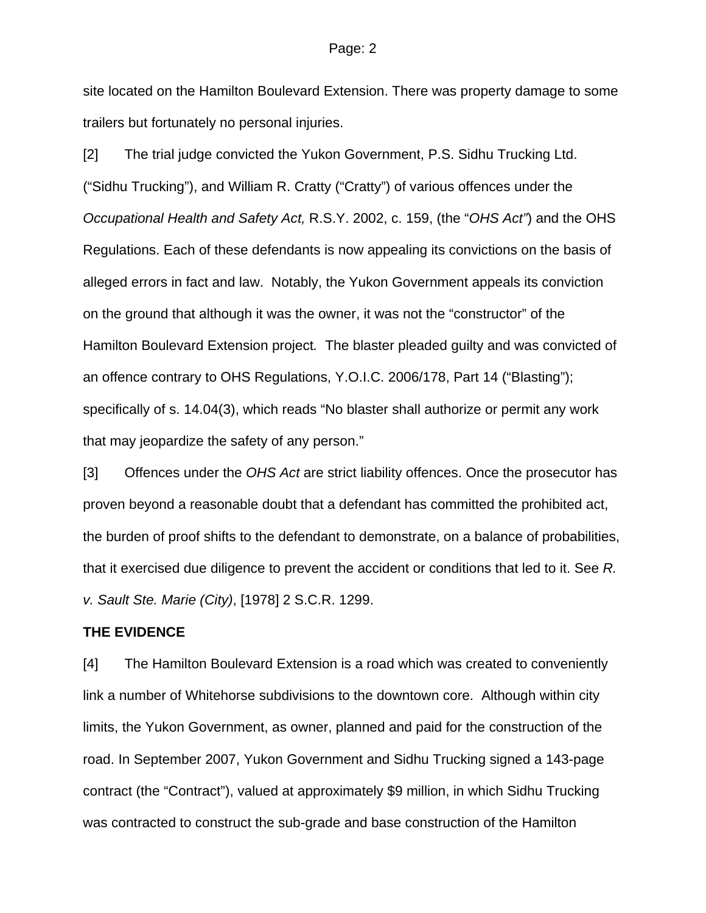#### Page: 2

site located on the Hamilton Boulevard Extension. There was property damage to some trailers but fortunately no personal injuries.

[2] The trial judge convicted the Yukon Government, P.S. Sidhu Trucking Ltd. ("Sidhu Trucking"), and William R. Cratty ("Cratty") of various offences under the *Occupational Health and Safety Act,* R.S.Y. 2002, c. 159, (the "*OHS Act"*) and the OHS Regulations. Each of these defendants is now appealing its convictions on the basis of alleged errors in fact and law. Notably, the Yukon Government appeals its conviction on the ground that although it was the owner, it was not the "constructor" of the Hamilton Boulevard Extension project*.* The blaster pleaded guilty and was convicted of an offence contrary to OHS Regulations, Y.O.I.C. 2006/178, Part 14 ("Blasting"); specifically of s. 14.04(3), which reads "No blaster shall authorize or permit any work that may jeopardize the safety of any person."

[3] Offences under the *OHS Act* are strict liability offences. Once the prosecutor has proven beyond a reasonable doubt that a defendant has committed the prohibited act, the burden of proof shifts to the defendant to demonstrate, on a balance of probabilities, that it exercised due diligence to prevent the accident or conditions that led to it. See *R. v. Sault Ste. Marie (City)*, [1978] 2 S.C.R. 1299.

#### **THE EVIDENCE**

[4] The Hamilton Boulevard Extension is a road which was created to conveniently link a number of Whitehorse subdivisions to the downtown core. Although within city limits, the Yukon Government, as owner, planned and paid for the construction of the road. In September 2007, Yukon Government and Sidhu Trucking signed a 143-page contract (the "Contract"), valued at approximately \$9 million, in which Sidhu Trucking was contracted to construct the sub-grade and base construction of the Hamilton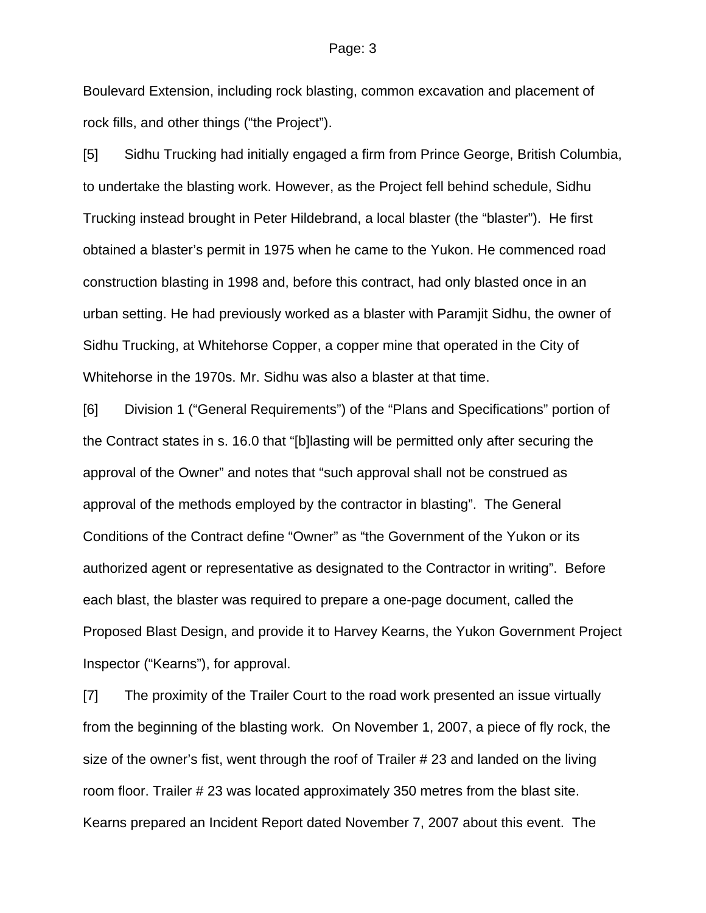Boulevard Extension, including rock blasting, common excavation and placement of rock fills, and other things ("the Project").

[5] Sidhu Trucking had initially engaged a firm from Prince George, British Columbia, to undertake the blasting work. However, as the Project fell behind schedule, Sidhu Trucking instead brought in Peter Hildebrand, a local blaster (the "blaster"). He first obtained a blaster's permit in 1975 when he came to the Yukon. He commenced road construction blasting in 1998 and, before this contract, had only blasted once in an urban setting. He had previously worked as a blaster with Paramjit Sidhu, the owner of Sidhu Trucking, at Whitehorse Copper, a copper mine that operated in the City of Whitehorse in the 1970s. Mr. Sidhu was also a blaster at that time.

[6] Division 1 ("General Requirements") of the "Plans and Specifications" portion of the Contract states in s. 16.0 that "[b]lasting will be permitted only after securing the approval of the Owner" and notes that "such approval shall not be construed as approval of the methods employed by the contractor in blasting". The General Conditions of the Contract define "Owner" as "the Government of the Yukon or its authorized agent or representative as designated to the Contractor in writing". Before each blast, the blaster was required to prepare a one-page document, called the Proposed Blast Design, and provide it to Harvey Kearns, the Yukon Government Project Inspector ("Kearns"), for approval.

[7] The proximity of the Trailer Court to the road work presented an issue virtually from the beginning of the blasting work. On November 1, 2007, a piece of fly rock, the size of the owner's fist, went through the roof of Trailer # 23 and landed on the living room floor. Trailer # 23 was located approximately 350 metres from the blast site. Kearns prepared an Incident Report dated November 7, 2007 about this event. The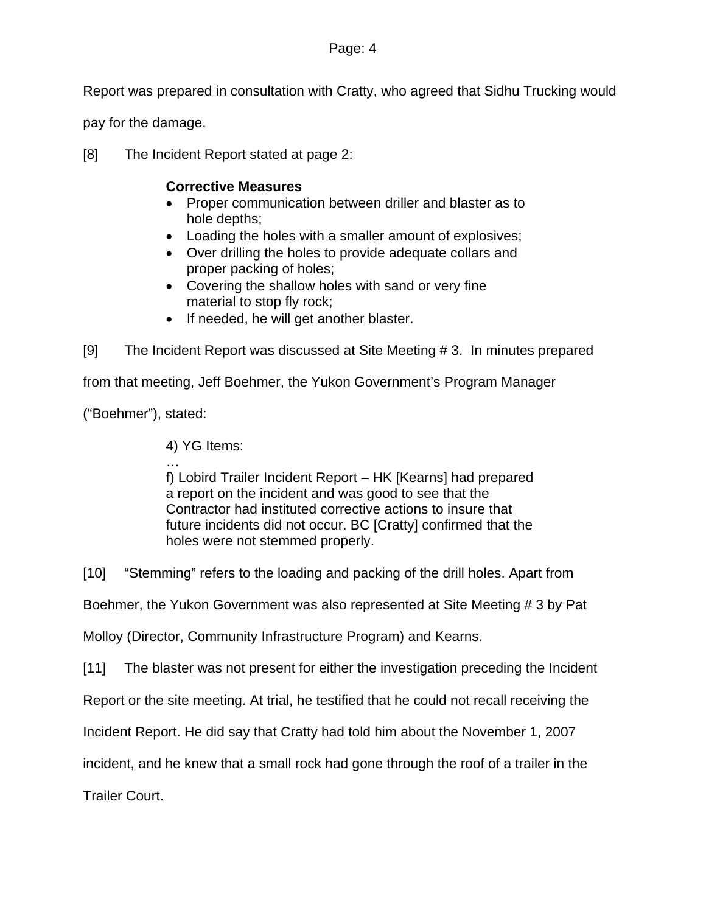Report was prepared in consultation with Cratty, who agreed that Sidhu Trucking would

pay for the damage.

[8] The Incident Report stated at page 2:

#### **Corrective Measures**

- Proper communication between driller and blaster as to hole depths;
- Loading the holes with a smaller amount of explosives;
- Over drilling the holes to provide adequate collars and proper packing of holes;
- Covering the shallow holes with sand or very fine material to stop fly rock;
- If needed, he will get another blaster.

[9] The Incident Report was discussed at Site Meeting # 3. In minutes prepared

from that meeting, Jeff Boehmer, the Yukon Government's Program Manager

("Boehmer"), stated:

4) YG Items:

… f) Lobird Trailer Incident Report – HK [Kearns] had prepared a report on the incident and was good to see that the Contractor had instituted corrective actions to insure that future incidents did not occur. BC [Cratty] confirmed that the holes were not stemmed properly.

[10] "Stemming" refers to the loading and packing of the drill holes. Apart from

Boehmer, the Yukon Government was also represented at Site Meeting # 3 by Pat

Molloy (Director, Community Infrastructure Program) and Kearns.

[11] The blaster was not present for either the investigation preceding the Incident

Report or the site meeting. At trial, he testified that he could not recall receiving the

Incident Report. He did say that Cratty had told him about the November 1, 2007

incident, and he knew that a small rock had gone through the roof of a trailer in the

Trailer Court.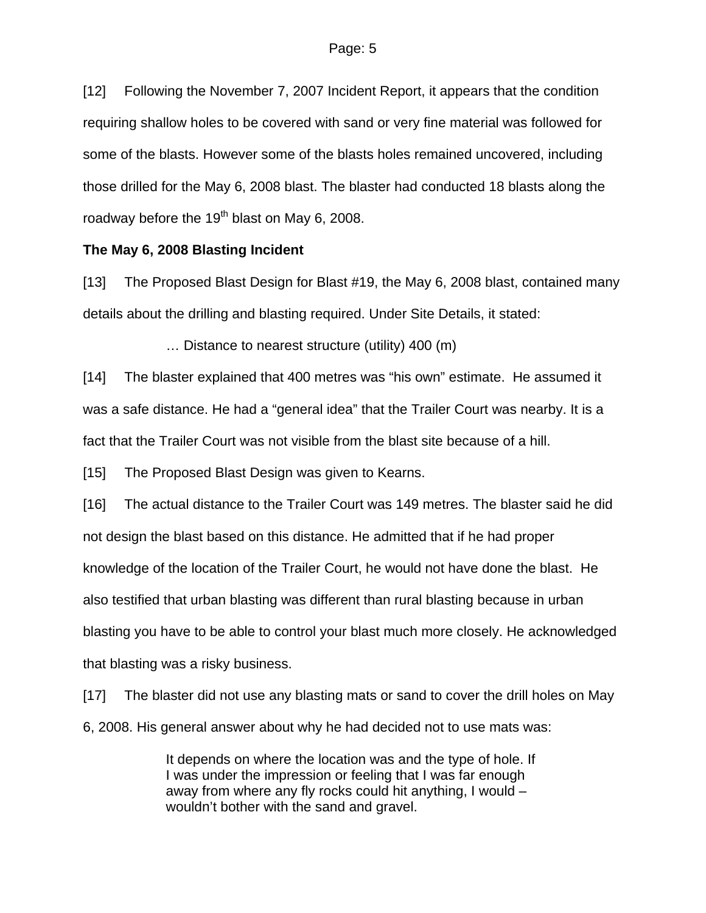[12] Following the November 7, 2007 Incident Report, it appears that the condition requiring shallow holes to be covered with sand or very fine material was followed for some of the blasts. However some of the blasts holes remained uncovered, including those drilled for the May 6, 2008 blast. The blaster had conducted 18 blasts along the roadway before the 19<sup>th</sup> blast on May 6, 2008.

#### **The May 6, 2008 Blasting Incident**

[13] The Proposed Blast Design for Blast #19, the May 6, 2008 blast, contained many details about the drilling and blasting required. Under Site Details, it stated:

… Distance to nearest structure (utility) 400 (m)

[14] The blaster explained that 400 metres was "his own" estimate. He assumed it was a safe distance. He had a "general idea" that the Trailer Court was nearby. It is a fact that the Trailer Court was not visible from the blast site because of a hill.

[15] The Proposed Blast Design was given to Kearns.

[16] The actual distance to the Trailer Court was 149 metres. The blaster said he did not design the blast based on this distance. He admitted that if he had proper knowledge of the location of the Trailer Court, he would not have done the blast. He also testified that urban blasting was different than rural blasting because in urban blasting you have to be able to control your blast much more closely. He acknowledged that blasting was a risky business.

[17] The blaster did not use any blasting mats or sand to cover the drill holes on May 6, 2008. His general answer about why he had decided not to use mats was:

> It depends on where the location was and the type of hole. If I was under the impression or feeling that I was far enough away from where any fly rocks could hit anything, I would – wouldn't bother with the sand and gravel.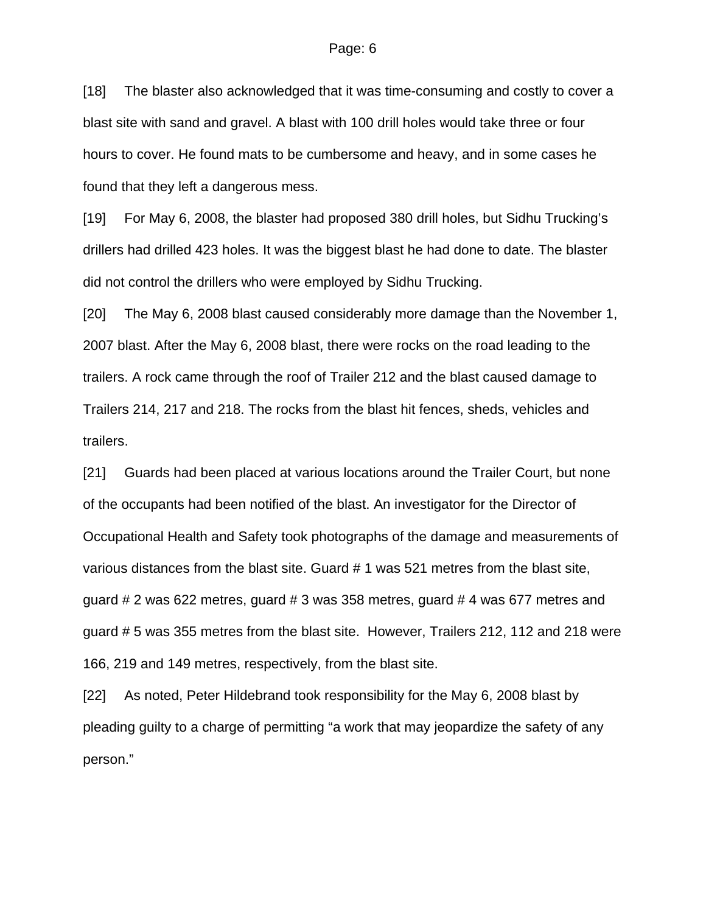[18] The blaster also acknowledged that it was time-consuming and costly to cover a blast site with sand and gravel. A blast with 100 drill holes would take three or four hours to cover. He found mats to be cumbersome and heavy, and in some cases he found that they left a dangerous mess.

[19] For May 6, 2008, the blaster had proposed 380 drill holes, but Sidhu Trucking's drillers had drilled 423 holes. It was the biggest blast he had done to date. The blaster did not control the drillers who were employed by Sidhu Trucking.

[20] The May 6, 2008 blast caused considerably more damage than the November 1, 2007 blast. After the May 6, 2008 blast, there were rocks on the road leading to the trailers. A rock came through the roof of Trailer 212 and the blast caused damage to Trailers 214, 217 and 218. The rocks from the blast hit fences, sheds, vehicles and trailers.

[21] Guards had been placed at various locations around the Trailer Court, but none of the occupants had been notified of the blast. An investigator for the Director of Occupational Health and Safety took photographs of the damage and measurements of various distances from the blast site. Guard # 1 was 521 metres from the blast site, guard # 2 was 622 metres, guard # 3 was 358 metres, guard # 4 was 677 metres and guard # 5 was 355 metres from the blast site. However, Trailers 212, 112 and 218 were 166, 219 and 149 metres, respectively, from the blast site.

[22] As noted, Peter Hildebrand took responsibility for the May 6, 2008 blast by pleading guilty to a charge of permitting "a work that may jeopardize the safety of any person."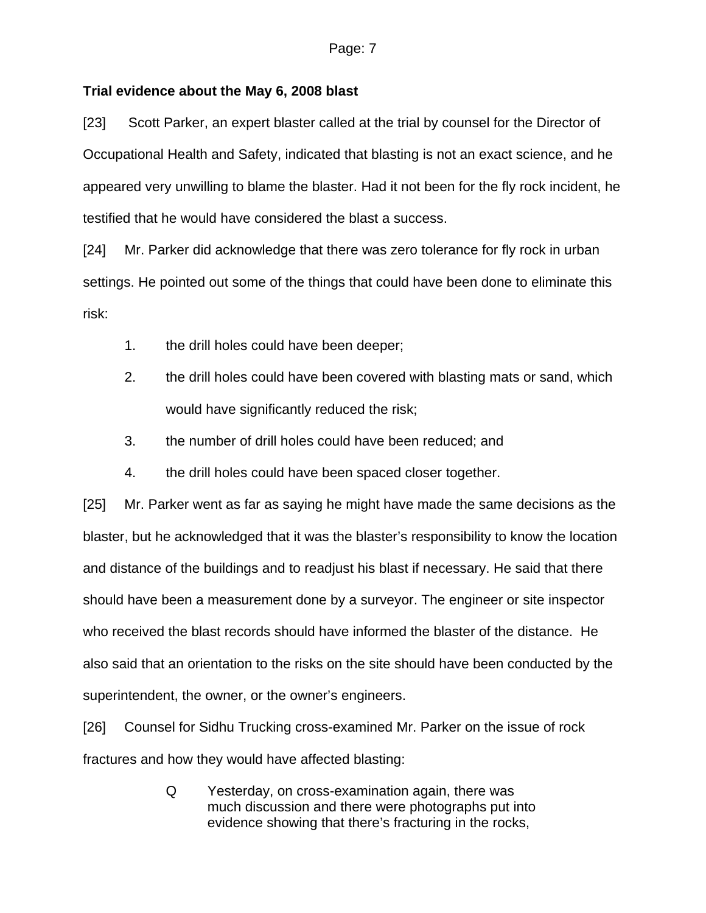#### **Trial evidence about the May 6, 2008 blast**

[23] Scott Parker, an expert blaster called at the trial by counsel for the Director of Occupational Health and Safety, indicated that blasting is not an exact science, and he appeared very unwilling to blame the blaster. Had it not been for the fly rock incident, he testified that he would have considered the blast a success.

[24] Mr. Parker did acknowledge that there was zero tolerance for fly rock in urban settings. He pointed out some of the things that could have been done to eliminate this risk:

- 1. the drill holes could have been deeper;
- 2. the drill holes could have been covered with blasting mats or sand, which would have significantly reduced the risk;
- 3. the number of drill holes could have been reduced; and
- 4. the drill holes could have been spaced closer together.

[25] Mr. Parker went as far as saying he might have made the same decisions as the blaster, but he acknowledged that it was the blaster's responsibility to know the location and distance of the buildings and to readjust his blast if necessary. He said that there should have been a measurement done by a surveyor. The engineer or site inspector who received the blast records should have informed the blaster of the distance. He also said that an orientation to the risks on the site should have been conducted by the superintendent, the owner, or the owner's engineers.

[26] Counsel for Sidhu Trucking cross-examined Mr. Parker on the issue of rock fractures and how they would have affected blasting:

> Q Yesterday, on cross-examination again, there was much discussion and there were photographs put into evidence showing that there's fracturing in the rocks,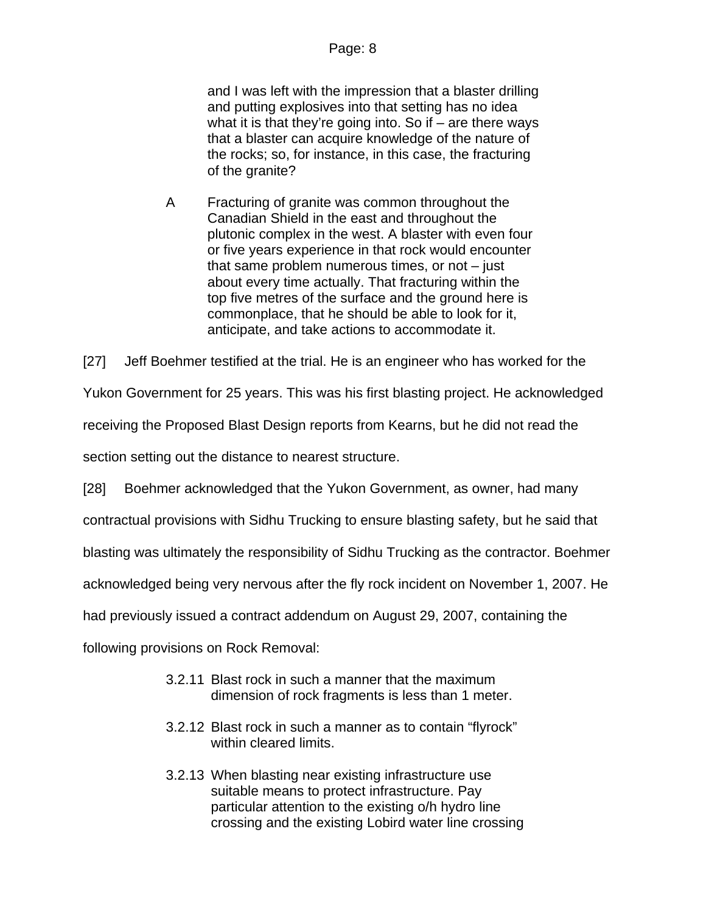and I was left with the impression that a blaster drilling and putting explosives into that setting has no idea what it is that they're going into. So if  $-$  are there ways that a blaster can acquire knowledge of the nature of the rocks; so, for instance, in this case, the fracturing of the granite?

A Fracturing of granite was common throughout the Canadian Shield in the east and throughout the plutonic complex in the west. A blaster with even four or five years experience in that rock would encounter that same problem numerous times, or not  $-$  just about every time actually. That fracturing within the top five metres of the surface and the ground here is commonplace, that he should be able to look for it, anticipate, and take actions to accommodate it.

[27] Jeff Boehmer testified at the trial. He is an engineer who has worked for the

Yukon Government for 25 years. This was his first blasting project. He acknowledged

receiving the Proposed Blast Design reports from Kearns, but he did not read the

section setting out the distance to nearest structure.

[28] Boehmer acknowledged that the Yukon Government, as owner, had many

contractual provisions with Sidhu Trucking to ensure blasting safety, but he said that

blasting was ultimately the responsibility of Sidhu Trucking as the contractor. Boehmer

acknowledged being very nervous after the fly rock incident on November 1, 2007. He

had previously issued a contract addendum on August 29, 2007, containing the

following provisions on Rock Removal:

- 3.2.11 Blast rock in such a manner that the maximum dimension of rock fragments is less than 1 meter.
- 3.2.12 Blast rock in such a manner as to contain "flyrock" within cleared limits.
- 3.2.13 When blasting near existing infrastructure use suitable means to protect infrastructure. Pay particular attention to the existing o/h hydro line crossing and the existing Lobird water line crossing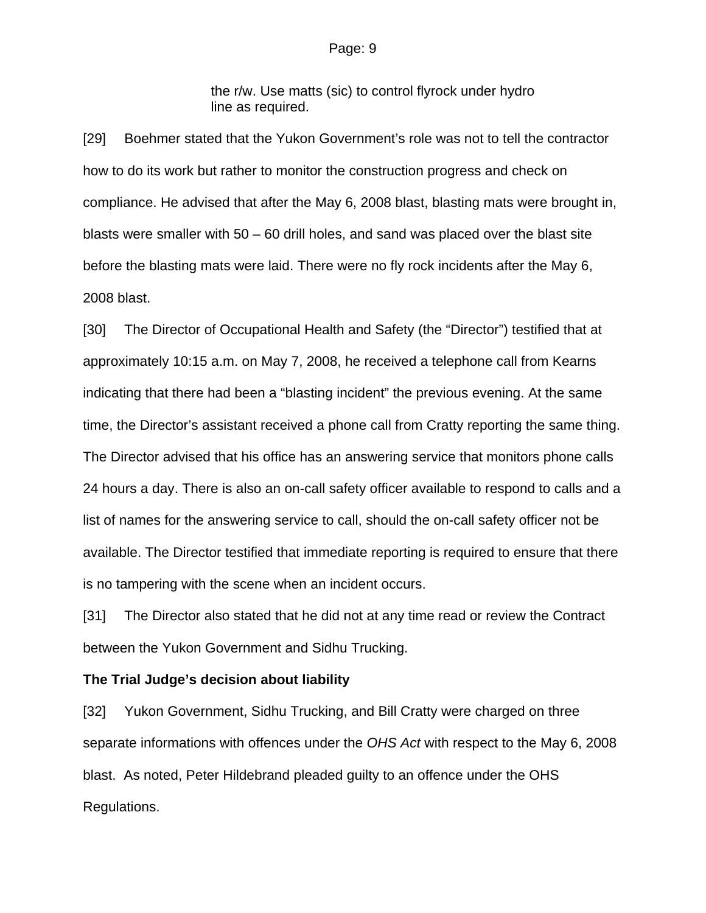#### Page: 9

the r/w. Use matts (sic) to control flyrock under hydro line as required.

[29] Boehmer stated that the Yukon Government's role was not to tell the contractor how to do its work but rather to monitor the construction progress and check on compliance. He advised that after the May 6, 2008 blast, blasting mats were brought in, blasts were smaller with 50 – 60 drill holes, and sand was placed over the blast site before the blasting mats were laid. There were no fly rock incidents after the May 6, 2008 blast.

[30] The Director of Occupational Health and Safety (the "Director") testified that at approximately 10:15 a.m. on May 7, 2008, he received a telephone call from Kearns indicating that there had been a "blasting incident" the previous evening. At the same time, the Director's assistant received a phone call from Cratty reporting the same thing. The Director advised that his office has an answering service that monitors phone calls 24 hours a day. There is also an on-call safety officer available to respond to calls and a list of names for the answering service to call, should the on-call safety officer not be available. The Director testified that immediate reporting is required to ensure that there is no tampering with the scene when an incident occurs.

[31] The Director also stated that he did not at any time read or review the Contract between the Yukon Government and Sidhu Trucking.

#### **The Trial Judge's decision about liability**

[32] Yukon Government, Sidhu Trucking, and Bill Cratty were charged on three separate informations with offences under the *OHS Act* with respect to the May 6, 2008 blast. As noted, Peter Hildebrand pleaded guilty to an offence under the OHS Regulations.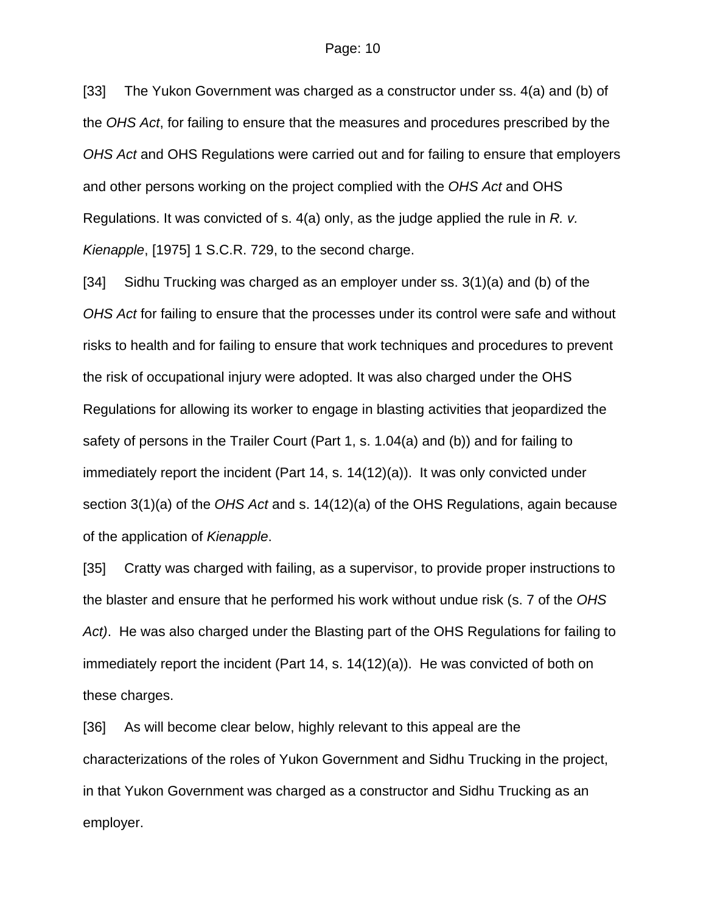[33] The Yukon Government was charged as a constructor under ss. 4(a) and (b) of the *OHS Act*, for failing to ensure that the measures and procedures prescribed by the *OHS Act* and OHS Regulations were carried out and for failing to ensure that employers and other persons working on the project complied with the *OHS Act* and OHS Regulations. It was convicted of s. 4(a) only, as the judge applied the rule in *R. v. Kienapple*, [1975] 1 S.C.R. 729, to the second charge.

[34] Sidhu Trucking was charged as an employer under ss. 3(1)(a) and (b) of the *OHS Act* for failing to ensure that the processes under its control were safe and without risks to health and for failing to ensure that work techniques and procedures to prevent the risk of occupational injury were adopted. It was also charged under the OHS Regulations for allowing its worker to engage in blasting activities that jeopardized the safety of persons in the Trailer Court (Part 1, s. 1.04(a) and (b)) and for failing to immediately report the incident (Part 14, s. 14(12)(a)). It was only convicted under section 3(1)(a) of the *OHS Act* and s. 14(12)(a) of the OHS Regulations, again because of the application of *Kienapple*.

[35] Cratty was charged with failing, as a supervisor, to provide proper instructions to the blaster and ensure that he performed his work without undue risk (s. 7 of the *OHS Act)*. He was also charged under the Blasting part of the OHS Regulations for failing to immediately report the incident (Part 14, s. 14(12)(a)). He was convicted of both on these charges.

[36] As will become clear below, highly relevant to this appeal are the characterizations of the roles of Yukon Government and Sidhu Trucking in the project, in that Yukon Government was charged as a constructor and Sidhu Trucking as an employer.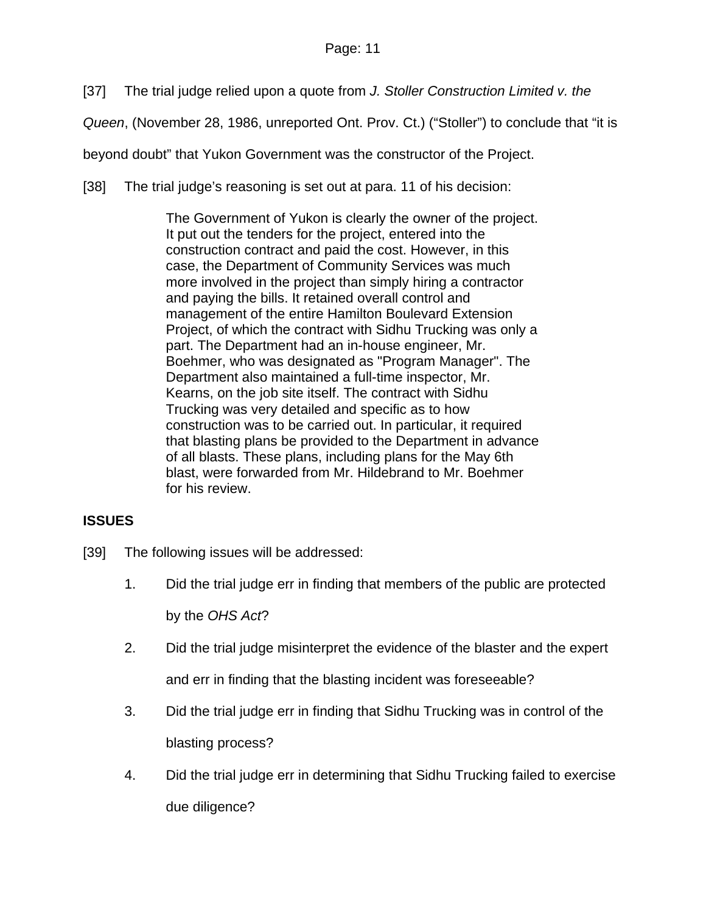[37] The trial judge relied upon a quote from *J. Stoller Construction Limited v. the* 

*Queen*, (November 28, 1986, unreported Ont. Prov. Ct.) ("Stoller") to conclude that "it is

beyond doubt" that Yukon Government was the constructor of the Project.

[38] The trial judge's reasoning is set out at para. 11 of his decision:

The Government of Yukon is clearly the owner of the project. It put out the tenders for the project, entered into the construction contract and paid the cost. However, in this case, the Department of Community Services was much more involved in the project than simply hiring a contractor and paying the bills. It retained overall control and management of the entire Hamilton Boulevard Extension Project, of which the contract with Sidhu Trucking was only a part. The Department had an in-house engineer, Mr. Boehmer, who was designated as "Program Manager". The Department also maintained a full-time inspector, Mr. Kearns, on the job site itself. The contract with Sidhu Trucking was very detailed and specific as to how construction was to be carried out. In particular, it required that blasting plans be provided to the Department in advance of all blasts. These plans, including plans for the May 6th blast, were forwarded from Mr. Hildebrand to Mr. Boehmer for his review.

# **ISSUES**

- [39] The following issues will be addressed:
	- 1. Did the trial judge err in finding that members of the public are protected by the *OHS Act*?
	- 2. Did the trial judge misinterpret the evidence of the blaster and the expert and err in finding that the blasting incident was foreseeable?
	- 3. Did the trial judge err in finding that Sidhu Trucking was in control of the blasting process?
	- 4. Did the trial judge err in determining that Sidhu Trucking failed to exercise due diligence?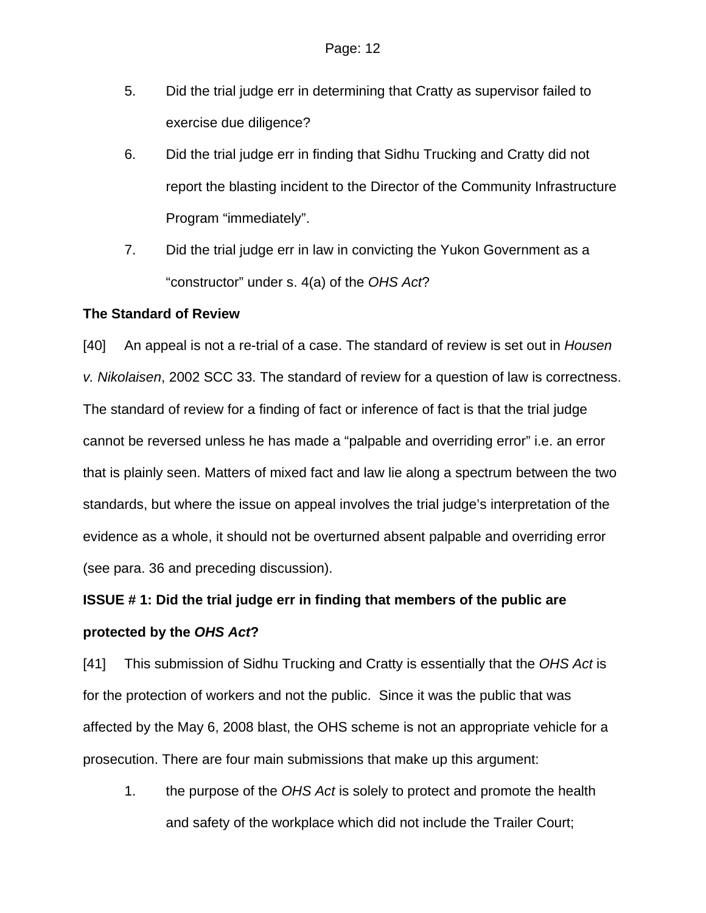- 5. Did the trial judge err in determining that Cratty as supervisor failed to exercise due diligence?
- 6. Did the trial judge err in finding that Sidhu Trucking and Cratty did not report the blasting incident to the Director of the Community Infrastructure Program "immediately".
- 7. Did the trial judge err in law in convicting the Yukon Government as a "constructor" under s. 4(a) of the *OHS Act*?

#### **The Standard of Review**

[40] An appeal is not a re-trial of a case. The standard of review is set out in *Housen v. Nikolaisen*, 2002 SCC 33. The standard of review for a question of law is correctness. The standard of review for a finding of fact or inference of fact is that the trial judge cannot be reversed unless he has made a "palpable and overriding error" i.e. an error that is plainly seen. Matters of mixed fact and law lie along a spectrum between the two standards, but where the issue on appeal involves the trial judge's interpretation of the evidence as a whole, it should not be overturned absent palpable and overriding error (see para. 36 and preceding discussion).

# **ISSUE # 1: Did the trial judge err in finding that members of the public are protected by the** *OHS Act***?**

[41] This submission of Sidhu Trucking and Cratty is essentially that the *OHS Act* is for the protection of workers and not the public. Since it was the public that was affected by the May 6, 2008 blast, the OHS scheme is not an appropriate vehicle for a prosecution. There are four main submissions that make up this argument:

1. the purpose of the *OHS Act* is solely to protect and promote the health and safety of the workplace which did not include the Trailer Court;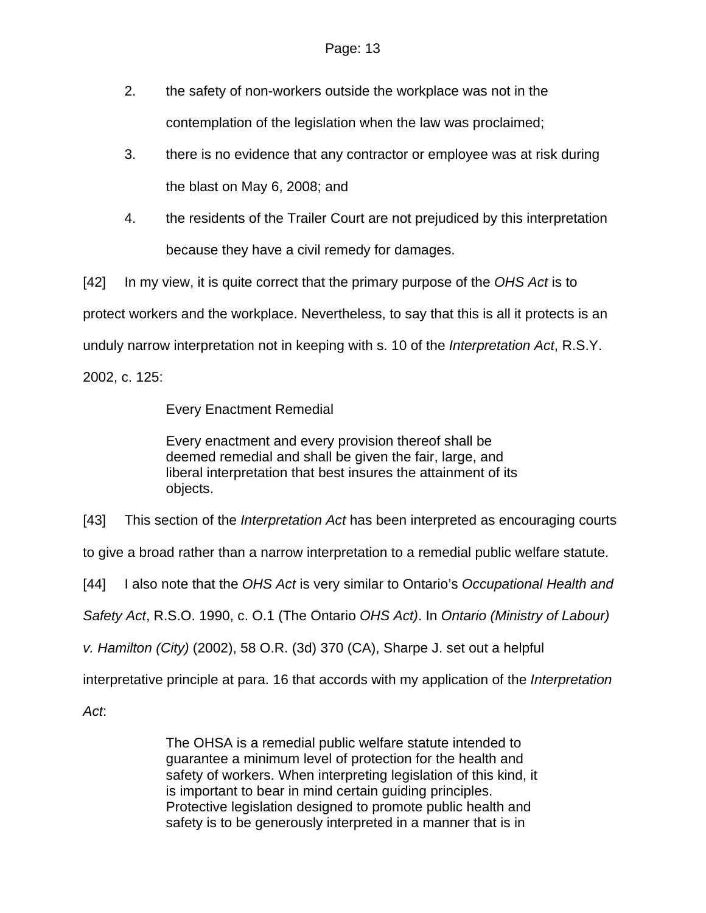- 2. the safety of non-workers outside the workplace was not in the contemplation of the legislation when the law was proclaimed;
- 3. there is no evidence that any contractor or employee was at risk during the blast on May 6, 2008; and
- 4. the residents of the Trailer Court are not prejudiced by this interpretation because they have a civil remedy for damages.

[42] In my view, it is quite correct that the primary purpose of the *OHS Act* is to

protect workers and the workplace. Nevertheless, to say that this is all it protects is an

unduly narrow interpretation not in keeping with s. 10 of the *Interpretation Act*, R.S.Y.

2002, c. 125:

Every Enactment Remedial

Every enactment and every provision thereof shall be deemed remedial and shall be given the fair, large, and liberal interpretation that best insures the attainment of its objects.

[43] This section of the *Interpretation Act* has been interpreted as encouraging courts

to give a broad rather than a narrow interpretation to a remedial public welfare statute.

[44] I also note that the *OHS Act* is very similar to Ontario's *Occupational Health and* 

*Safety Act*, R.S.O. 1990, c. O.1 (The Ontario *OHS Act)*. In *Ontario (Ministry of Labour)* 

*v. Hamilton (City)* (2002), 58 O.R. (3d) 370 (CA), Sharpe J. set out a helpful

interpretative principle at para. 16 that accords with my application of the *Interpretation* 

*Act*:

The OHSA is a remedial public welfare statute intended to guarantee a minimum level of protection for the health and safety of workers. When interpreting legislation of this kind, it is important to bear in mind certain guiding principles. Protective legislation designed to promote public health and safety is to be generously interpreted in a manner that is in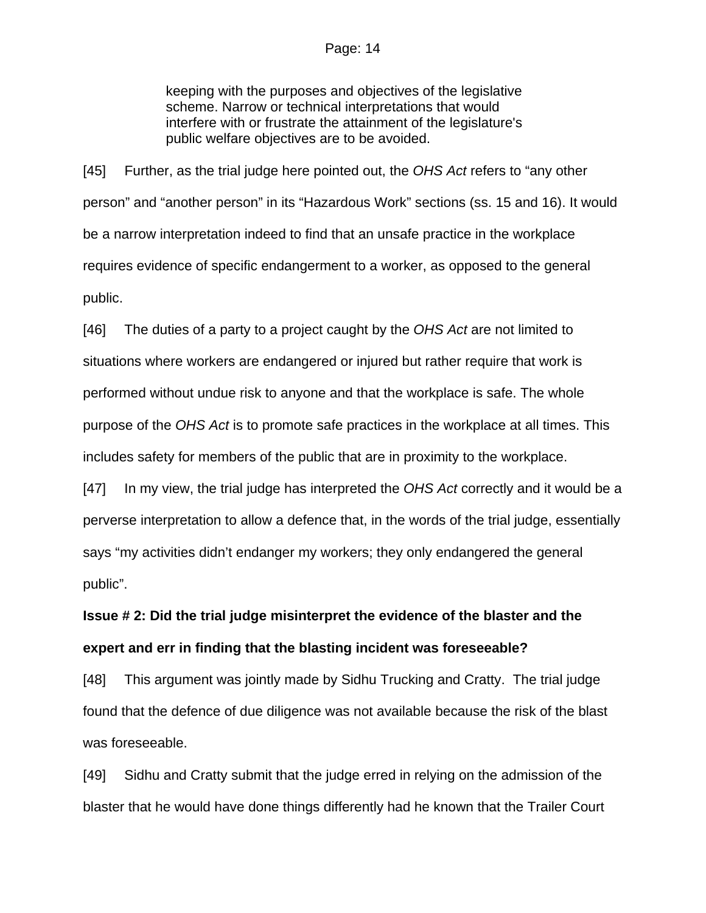#### Page: 14

keeping with the purposes and objectives of the legislative scheme. Narrow or technical interpretations that would interfere with or frustrate the attainment of the legislature's public welfare objectives are to be avoided.

[45] Further, as the trial judge here pointed out, the *OHS Act* refers to "any other person" and "another person" in its "Hazardous Work" sections (ss. 15 and 16). It would be a narrow interpretation indeed to find that an unsafe practice in the workplace requires evidence of specific endangerment to a worker, as opposed to the general public.

[46] The duties of a party to a project caught by the *OHS Act* are not limited to situations where workers are endangered or injured but rather require that work is performed without undue risk to anyone and that the workplace is safe. The whole purpose of the *OHS Act* is to promote safe practices in the workplace at all times. This includes safety for members of the public that are in proximity to the workplace.

[47] In my view, the trial judge has interpreted the *OHS Act* correctly and it would be a perverse interpretation to allow a defence that, in the words of the trial judge, essentially says "my activities didn't endanger my workers; they only endangered the general public".

# **Issue # 2: Did the trial judge misinterpret the evidence of the blaster and the expert and err in finding that the blasting incident was foreseeable?**

[48] This argument was jointly made by Sidhu Trucking and Cratty. The trial judge found that the defence of due diligence was not available because the risk of the blast was foreseeable.

[49] Sidhu and Cratty submit that the judge erred in relying on the admission of the blaster that he would have done things differently had he known that the Trailer Court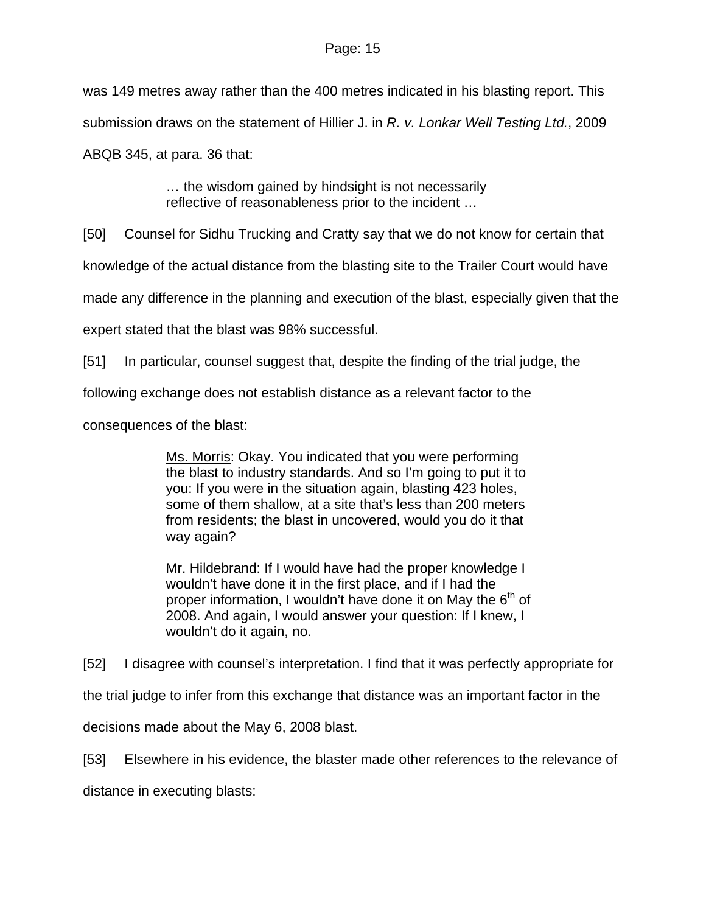was 149 metres away rather than the 400 metres indicated in his blasting report. This submission draws on the statement of Hillier J. in *R. v. Lonkar Well Testing Ltd.*, 2009 ABQB 345, at para. 36 that:

> … the wisdom gained by hindsight is not necessarily reflective of reasonableness prior to the incident …

[50] Counsel for Sidhu Trucking and Cratty say that we do not know for certain that

knowledge of the actual distance from the blasting site to the Trailer Court would have

made any difference in the planning and execution of the blast, especially given that the

expert stated that the blast was 98% successful.

[51] In particular, counsel suggest that, despite the finding of the trial judge, the

following exchange does not establish distance as a relevant factor to the

consequences of the blast:

Ms. Morris: Okay. You indicated that you were performing the blast to industry standards. And so I'm going to put it to you: If you were in the situation again, blasting 423 holes, some of them shallow, at a site that's less than 200 meters from residents; the blast in uncovered, would you do it that way again?

Mr. Hildebrand: If I would have had the proper knowledge I wouldn't have done it in the first place, and if I had the proper information, I wouldn't have done it on May the  $6<sup>th</sup>$  of 2008. And again, I would answer your question: If I knew, I wouldn't do it again, no.

[52] I disagree with counsel's interpretation. I find that it was perfectly appropriate for

the trial judge to infer from this exchange that distance was an important factor in the

decisions made about the May 6, 2008 blast.

[53] Elsewhere in his evidence, the blaster made other references to the relevance of

distance in executing blasts: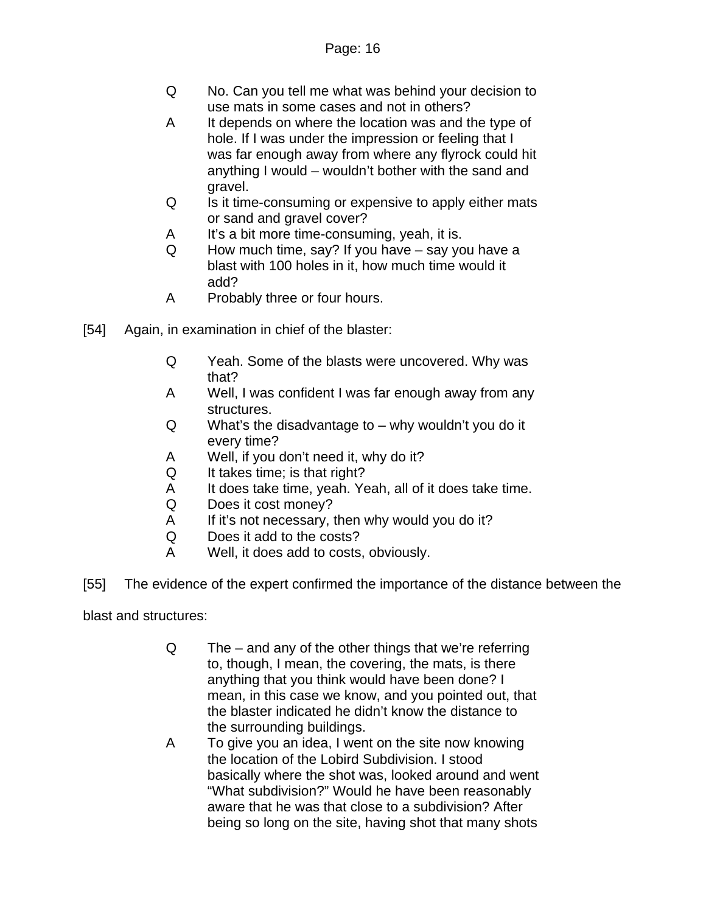- Q No. Can you tell me what was behind your decision to use mats in some cases and not in others?
- A It depends on where the location was and the type of hole. If I was under the impression or feeling that I was far enough away from where any flyrock could hit anything I would – wouldn't bother with the sand and gravel.
- Q Is it time-consuming or expensive to apply either mats or sand and gravel cover?
- A It's a bit more time-consuming, yeah, it is.
- Q How much time, say? If you have say you have a blast with 100 holes in it, how much time would it add?
- A Probably three or four hours.
- [54] Again, in examination in chief of the blaster:
	- Q Yeah. Some of the blasts were uncovered. Why was that?
	- A Well, I was confident I was far enough away from any structures.
	- Q What's the disadvantage to why wouldn't you do it every time?
	- A Well, if you don't need it, why do it?
	- Q It takes time; is that right?
	- A It does take time, yeah. Yeah, all of it does take time.
	- Q Does it cost money?
	- A If it's not necessary, then why would you do it?
	- Q Does it add to the costs?
	- A Well, it does add to costs, obviously.
- [55] The evidence of the expert confirmed the importance of the distance between the

blast and structures:

- Q The and any of the other things that we're referring to, though, I mean, the covering, the mats, is there anything that you think would have been done? I mean, in this case we know, and you pointed out, that the blaster indicated he didn't know the distance to the surrounding buildings.
- A To give you an idea, I went on the site now knowing the location of the Lobird Subdivision. I stood basically where the shot was, looked around and went "What subdivision?" Would he have been reasonably aware that he was that close to a subdivision? After being so long on the site, having shot that many shots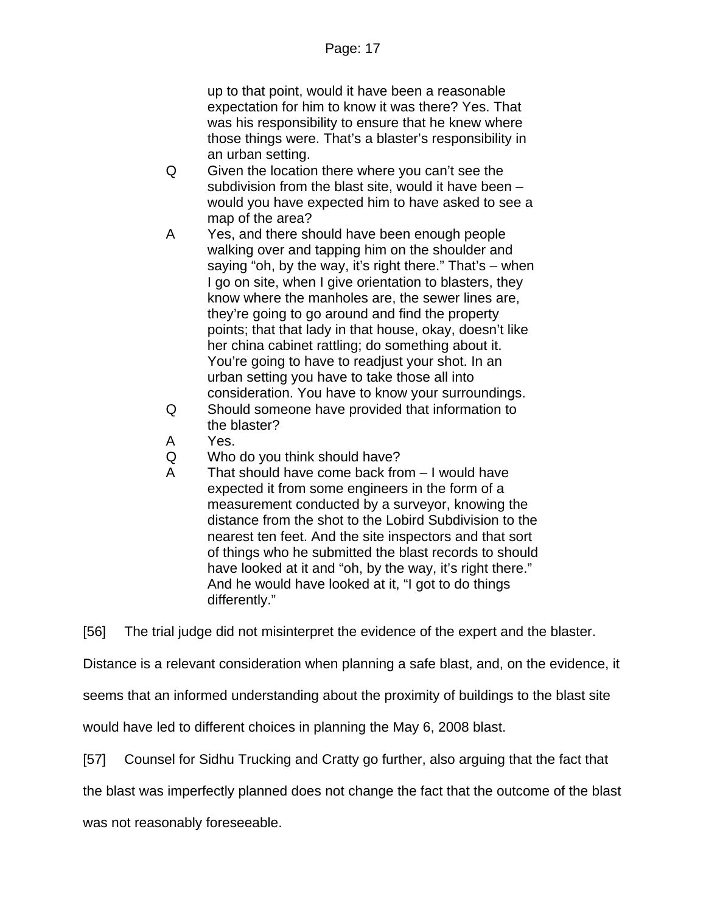up to that point, would it have been a reasonable expectation for him to know it was there? Yes. That was his responsibility to ensure that he knew where those things were. That's a blaster's responsibility in an urban setting.

- Q Given the location there where you can't see the subdivision from the blast site, would it have been – would you have expected him to have asked to see a map of the area?
- A Yes, and there should have been enough people walking over and tapping him on the shoulder and saying "oh, by the way, it's right there." That's – when I go on site, when I give orientation to blasters, they know where the manholes are, the sewer lines are, they're going to go around and find the property points; that that lady in that house, okay, doesn't like her china cabinet rattling; do something about it. You're going to have to readjust your shot. In an urban setting you have to take those all into consideration. You have to know your surroundings.
- Q Should someone have provided that information to the blaster?
- A Yes.
- Q Who do you think should have?
- A That should have come back from I would have expected it from some engineers in the form of a measurement conducted by a surveyor, knowing the distance from the shot to the Lobird Subdivision to the nearest ten feet. And the site inspectors and that sort of things who he submitted the blast records to should have looked at it and "oh, by the way, it's right there." And he would have looked at it, "I got to do things differently."

[56] The trial judge did not misinterpret the evidence of the expert and the blaster.

Distance is a relevant consideration when planning a safe blast, and, on the evidence, it

seems that an informed understanding about the proximity of buildings to the blast site

would have led to different choices in planning the May 6, 2008 blast.

[57] Counsel for Sidhu Trucking and Cratty go further, also arguing that the fact that

the blast was imperfectly planned does not change the fact that the outcome of the blast

was not reasonably foreseeable.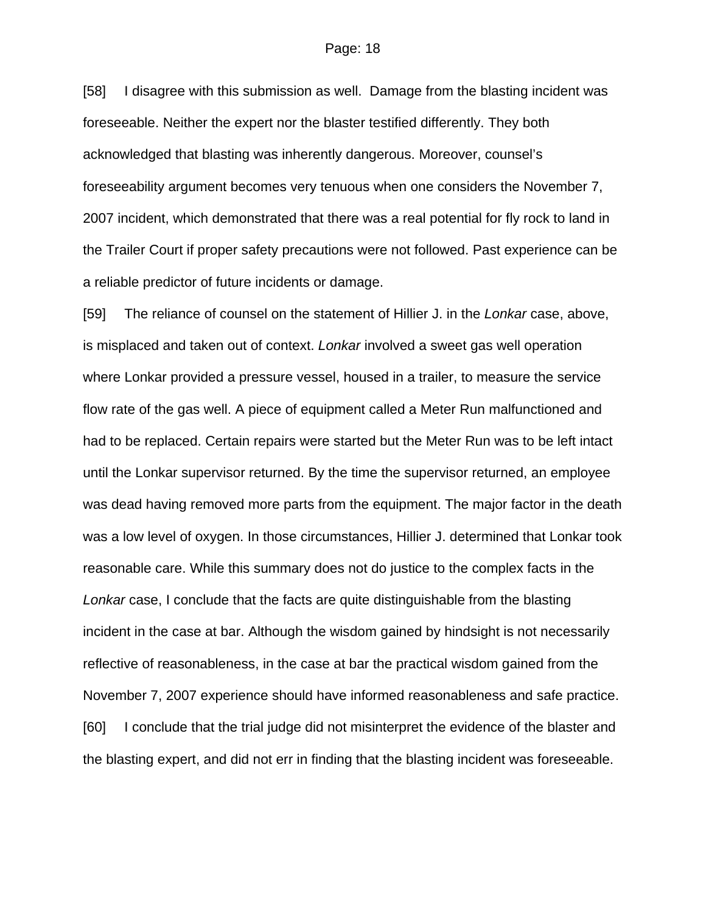[58] I disagree with this submission as well. Damage from the blasting incident was foreseeable. Neither the expert nor the blaster testified differently. They both acknowledged that blasting was inherently dangerous. Moreover, counsel's foreseeability argument becomes very tenuous when one considers the November 7, 2007 incident, which demonstrated that there was a real potential for fly rock to land in the Trailer Court if proper safety precautions were not followed. Past experience can be a reliable predictor of future incidents or damage.

[59] The reliance of counsel on the statement of Hillier J. in the *Lonkar* case, above, is misplaced and taken out of context. *Lonkar* involved a sweet gas well operation where Lonkar provided a pressure vessel, housed in a trailer, to measure the service flow rate of the gas well. A piece of equipment called a Meter Run malfunctioned and had to be replaced. Certain repairs were started but the Meter Run was to be left intact until the Lonkar supervisor returned. By the time the supervisor returned, an employee was dead having removed more parts from the equipment. The major factor in the death was a low level of oxygen. In those circumstances, Hillier J. determined that Lonkar took reasonable care. While this summary does not do justice to the complex facts in the *Lonkar* case, I conclude that the facts are quite distinguishable from the blasting incident in the case at bar. Although the wisdom gained by hindsight is not necessarily reflective of reasonableness, in the case at bar the practical wisdom gained from the November 7, 2007 experience should have informed reasonableness and safe practice. [60] I conclude that the trial judge did not misinterpret the evidence of the blaster and the blasting expert, and did not err in finding that the blasting incident was foreseeable.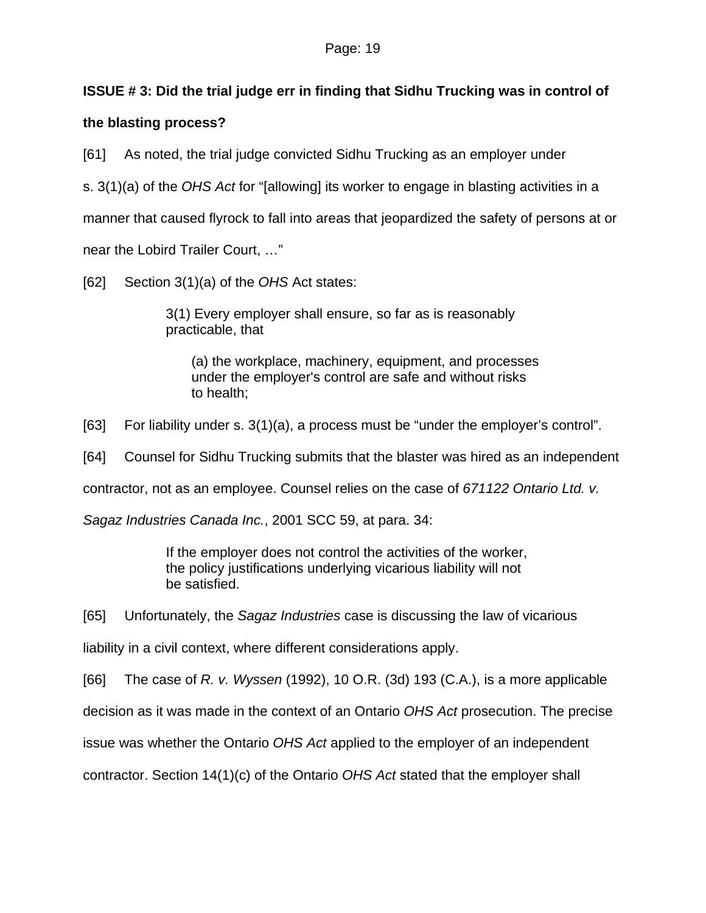## **ISSUE # 3: Did the trial judge err in finding that Sidhu Trucking was in control of**

#### **the blasting process?**

[61] As noted, the trial judge convicted Sidhu Trucking as an employer under

s. 3(1)(a) of the *OHS Act* for "[allowing] its worker to engage in blasting activities in a

manner that caused flyrock to fall into areas that jeopardized the safety of persons at or

near the Lobird Trailer Court, …"

[62] Section 3(1)(a) of the *OHS* Act states:

3(1) Every employer shall ensure, so far as is reasonably practicable, that

(a) the workplace, machinery, equipment, and processes under the employer's control are safe and without risks to health;

[63] For liability under s. 3(1)(a), a process must be "under the employer's control".

[64] Counsel for Sidhu Trucking submits that the blaster was hired as an independent

contractor, not as an employee. Counsel relies on the case of *671122 Ontario Ltd. v.* 

*Sagaz Industries Canada Inc.*, 2001 SCC 59, at para. 34:

If the employer does not control the activities of the worker, the policy justifications underlying vicarious liability will not be satisfied.

[65] Unfortunately, the *Sagaz Industries* case is discussing the law of vicarious

liability in a civil context, where different considerations apply.

[66] The case of *R. v. Wyssen* (1992), 10 O.R. (3d) 193 (C.A.), is a more applicable

decision as it was made in the context of an Ontario *OHS Act* prosecution. The precise

issue was whether the Ontario *OHS Act* applied to the employer of an independent

contractor. Section 14(1)(c) of the Ontario *OHS Act* stated that the employer shall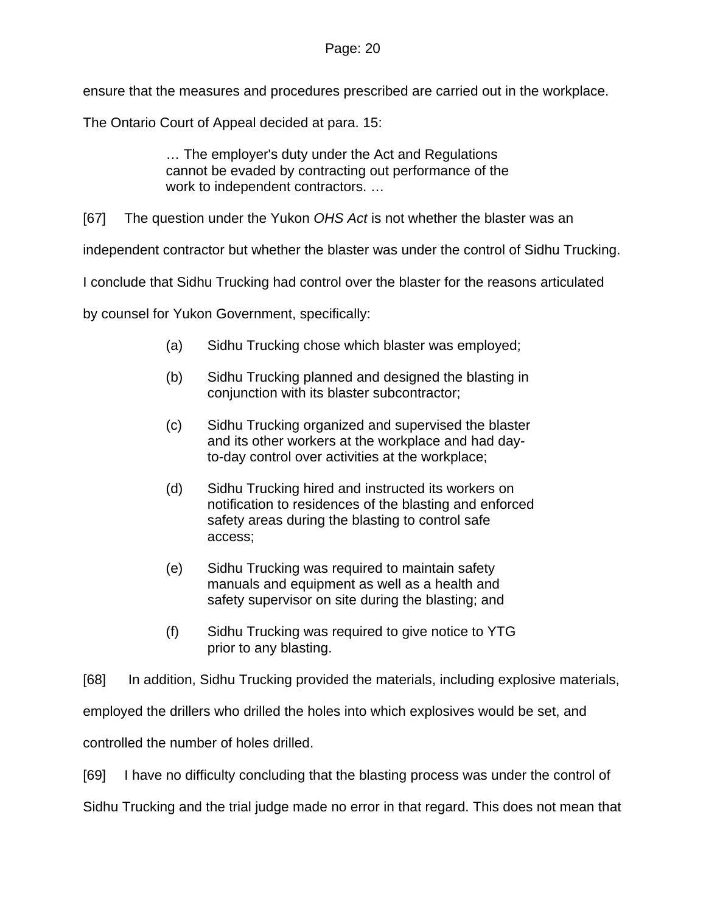ensure that the measures and procedures prescribed are carried out in the workplace.

The Ontario Court of Appeal decided at para. 15:

… The employer's duty under the Act and Regulations cannot be evaded by contracting out performance of the work to independent contractors. …

[67] The question under the Yukon *OHS Act* is not whether the blaster was an

independent contractor but whether the blaster was under the control of Sidhu Trucking.

I conclude that Sidhu Trucking had control over the blaster for the reasons articulated

by counsel for Yukon Government, specifically:

- (a) Sidhu Trucking chose which blaster was employed;
- (b) Sidhu Trucking planned and designed the blasting in conjunction with its blaster subcontractor;
- (c) Sidhu Trucking organized and supervised the blaster and its other workers at the workplace and had dayto-day control over activities at the workplace;
- (d) Sidhu Trucking hired and instructed its workers on notification to residences of the blasting and enforced safety areas during the blasting to control safe access;
- (e) Sidhu Trucking was required to maintain safety manuals and equipment as well as a health and safety supervisor on site during the blasting; and
- (f) Sidhu Trucking was required to give notice to YTG prior to any blasting.

[68] In addition, Sidhu Trucking provided the materials, including explosive materials,

employed the drillers who drilled the holes into which explosives would be set, and

controlled the number of holes drilled.

[69] I have no difficulty concluding that the blasting process was under the control of

Sidhu Trucking and the trial judge made no error in that regard. This does not mean that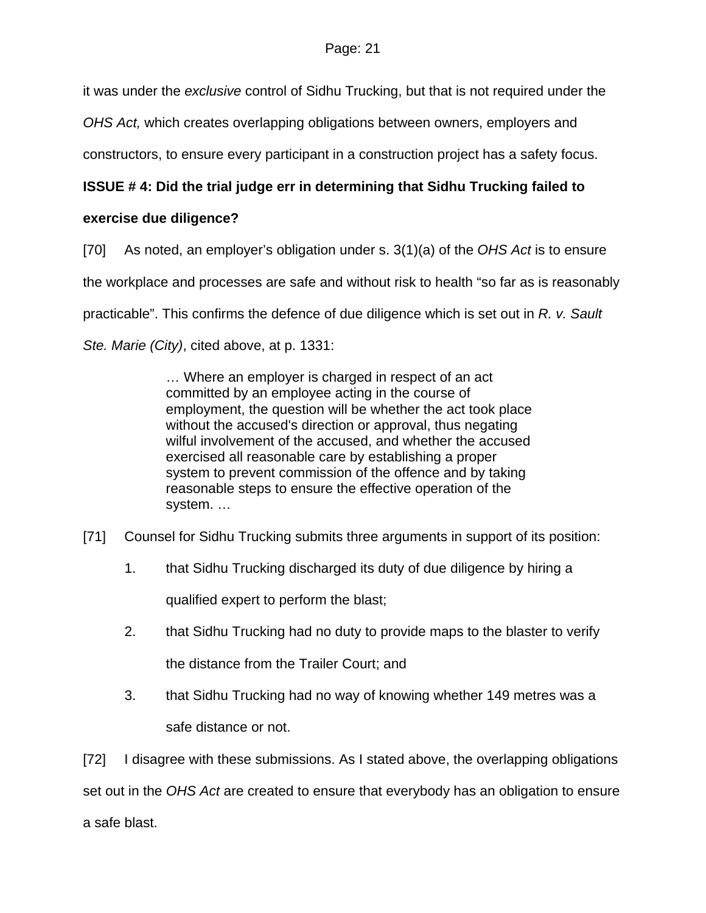it was under the *exclusive* control of Sidhu Trucking, but that is not required under the

*OHS Act,* which creates overlapping obligations between owners, employers and

constructors, to ensure every participant in a construction project has a safety focus.

# **ISSUE # 4: Did the trial judge err in determining that Sidhu Trucking failed to**

## **exercise due diligence?**

[70] As noted, an employer's obligation under s. 3(1)(a) of the *OHS Act* is to ensure

the workplace and processes are safe and without risk to health "so far as is reasonably

practicable". This confirms the defence of due diligence which is set out in *R. v. Sault* 

*Ste. Marie (City)*, cited above, at p. 1331:

… Where an employer is charged in respect of an act committed by an employee acting in the course of employment, the question will be whether the act took place without the accused's direction or approval, thus negating wilful involvement of the accused, and whether the accused exercised all reasonable care by establishing a proper system to prevent commission of the offence and by taking reasonable steps to ensure the effective operation of the system. …

- [71] Counsel for Sidhu Trucking submits three arguments in support of its position:
	- 1. that Sidhu Trucking discharged its duty of due diligence by hiring a qualified expert to perform the blast;
	- 2. that Sidhu Trucking had no duty to provide maps to the blaster to verify the distance from the Trailer Court; and
	- 3. that Sidhu Trucking had no way of knowing whether 149 metres was a safe distance or not.

[72] I disagree with these submissions. As I stated above, the overlapping obligations set out in the *OHS Act* are created to ensure that everybody has an obligation to ensure a safe blast.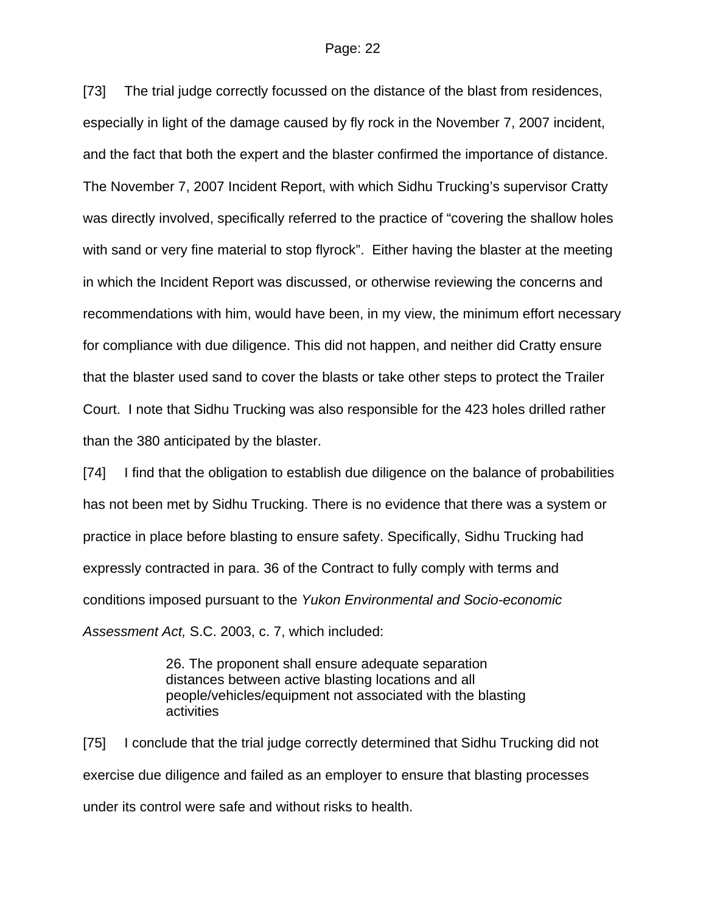#### Page: 22

[73] The trial judge correctly focussed on the distance of the blast from residences, especially in light of the damage caused by fly rock in the November 7, 2007 incident, and the fact that both the expert and the blaster confirmed the importance of distance. The November 7, 2007 Incident Report, with which Sidhu Trucking's supervisor Cratty was directly involved, specifically referred to the practice of "covering the shallow holes with sand or very fine material to stop flyrock". Either having the blaster at the meeting in which the Incident Report was discussed, or otherwise reviewing the concerns and recommendations with him, would have been, in my view, the minimum effort necessary for compliance with due diligence. This did not happen, and neither did Cratty ensure that the blaster used sand to cover the blasts or take other steps to protect the Trailer Court. I note that Sidhu Trucking was also responsible for the 423 holes drilled rather than the 380 anticipated by the blaster.

[74] I find that the obligation to establish due diligence on the balance of probabilities has not been met by Sidhu Trucking. There is no evidence that there was a system or practice in place before blasting to ensure safety. Specifically, Sidhu Trucking had expressly contracted in para. 36 of the Contract to fully comply with terms and conditions imposed pursuant to the *Yukon Environmental and Socio-economic Assessment Act,* S.C. 2003, c. 7, which included:

> 26. The proponent shall ensure adequate separation distances between active blasting locations and all people/vehicles/equipment not associated with the blasting activities

[75] I conclude that the trial judge correctly determined that Sidhu Trucking did not exercise due diligence and failed as an employer to ensure that blasting processes under its control were safe and without risks to health.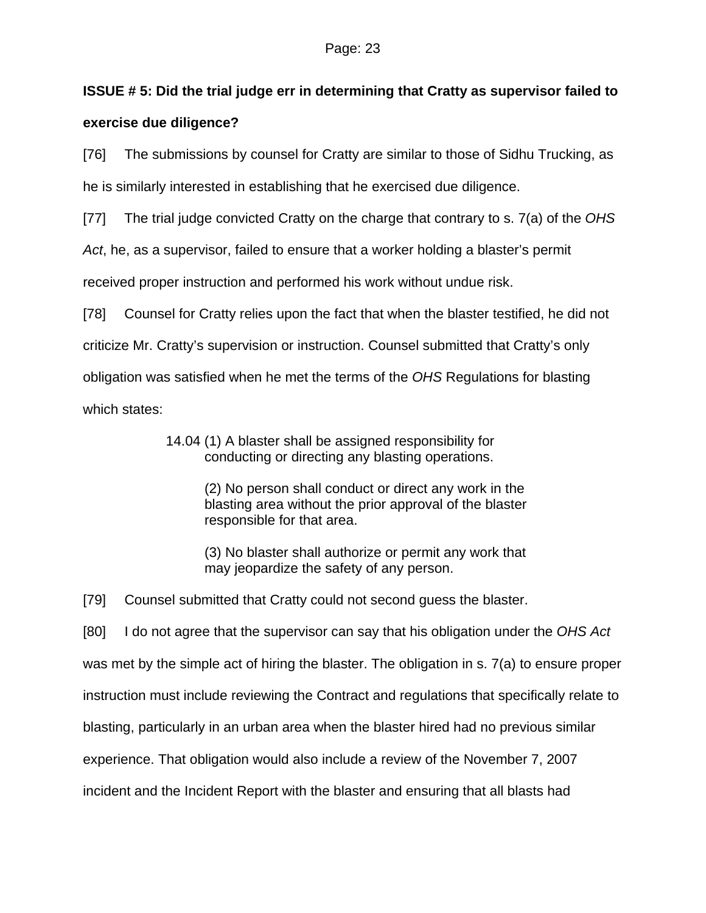# **ISSUE # 5: Did the trial judge err in determining that Cratty as supervisor failed to**

## **exercise due diligence?**

[76] The submissions by counsel for Cratty are similar to those of Sidhu Trucking, as

he is similarly interested in establishing that he exercised due diligence.

[77] The trial judge convicted Cratty on the charge that contrary to s. 7(a) of the *OHS* 

*Act*, he, as a supervisor, failed to ensure that a worker holding a blaster's permit

received proper instruction and performed his work without undue risk.

[78] Counsel for Cratty relies upon the fact that when the blaster testified, he did not criticize Mr. Cratty's supervision or instruction. Counsel submitted that Cratty's only obligation was satisfied when he met the terms of the *OHS* Regulations for blasting which states:

> 14.04 (1) A blaster shall be assigned responsibility for conducting or directing any blasting operations.

> > (2) No person shall conduct or direct any work in the blasting area without the prior approval of the blaster responsible for that area.

> > (3) No blaster shall authorize or permit any work that may jeopardize the safety of any person.

[79] Counsel submitted that Cratty could not second guess the blaster.

[80] I do not agree that the supervisor can say that his obligation under the *OHS Act* was met by the simple act of hiring the blaster. The obligation in s. 7(a) to ensure proper instruction must include reviewing the Contract and regulations that specifically relate to blasting, particularly in an urban area when the blaster hired had no previous similar experience. That obligation would also include a review of the November 7, 2007 incident and the Incident Report with the blaster and ensuring that all blasts had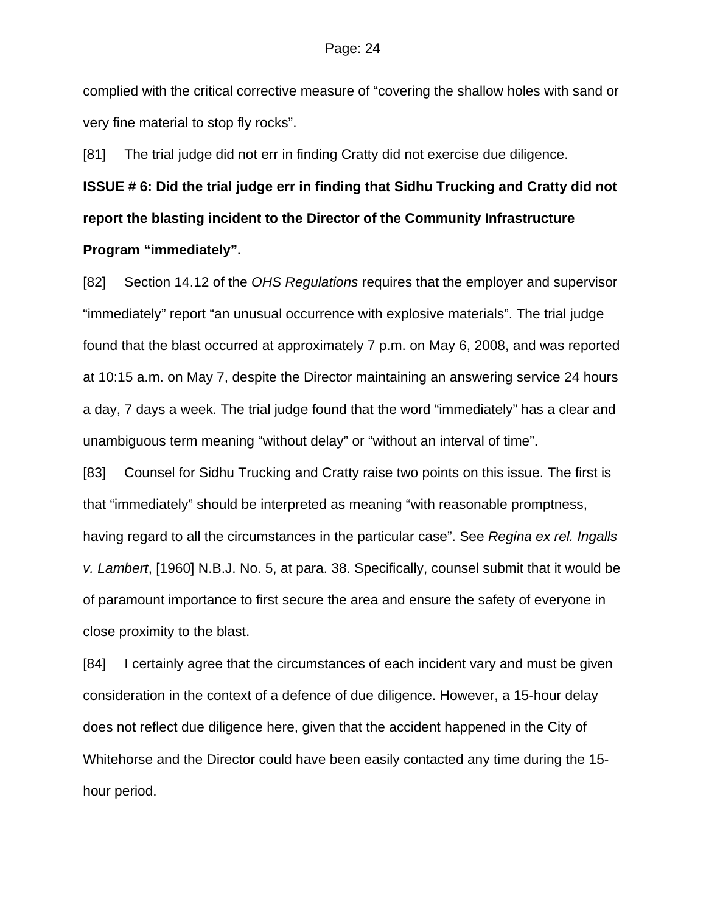#### Page: 24

complied with the critical corrective measure of "covering the shallow holes with sand or very fine material to stop fly rocks".

[81] The trial judge did not err in finding Cratty did not exercise due diligence.

**ISSUE # 6: Did the trial judge err in finding that Sidhu Trucking and Cratty did not report the blasting incident to the Director of the Community Infrastructure Program "immediately".** 

[82] Section 14.12 of the *OHS Regulations* requires that the employer and supervisor "immediately" report "an unusual occurrence with explosive materials". The trial judge found that the blast occurred at approximately 7 p.m. on May 6, 2008, and was reported at 10:15 a.m. on May 7, despite the Director maintaining an answering service 24 hours a day, 7 days a week. The trial judge found that the word "immediately" has a clear and unambiguous term meaning "without delay" or "without an interval of time".

[83] Counsel for Sidhu Trucking and Cratty raise two points on this issue. The first is that "immediately" should be interpreted as meaning "with reasonable promptness, having regard to all the circumstances in the particular case". See *Regina ex rel. Ingalls v. Lambert*, [1960] N.B.J. No. 5, at para. 38. Specifically, counsel submit that it would be of paramount importance to first secure the area and ensure the safety of everyone in close proximity to the blast.

[84] I certainly agree that the circumstances of each incident vary and must be given consideration in the context of a defence of due diligence. However, a 15-hour delay does not reflect due diligence here, given that the accident happened in the City of Whitehorse and the Director could have been easily contacted any time during the 15 hour period.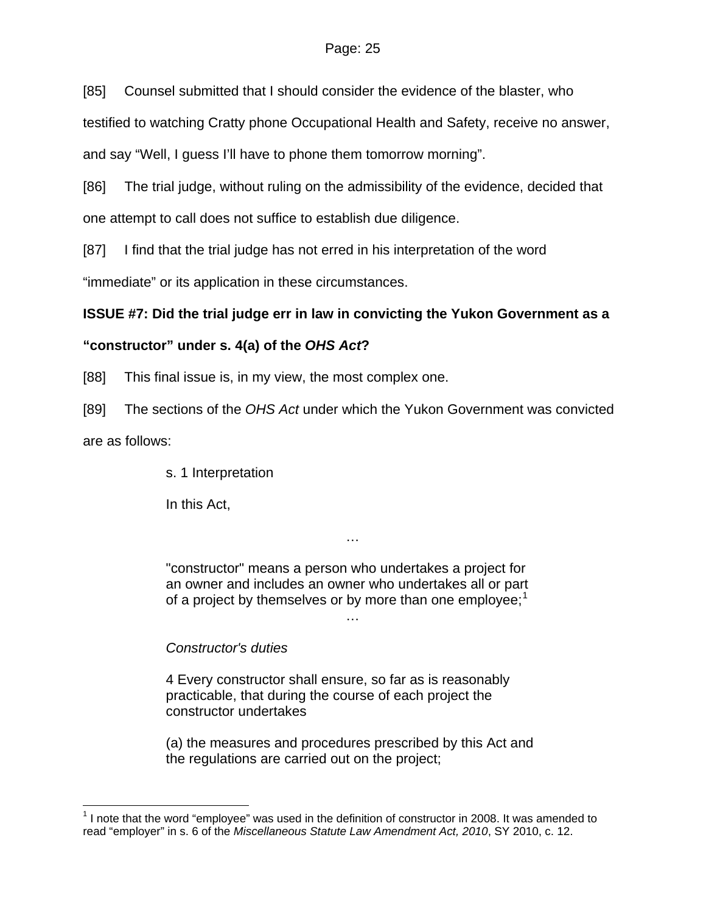[85] Counsel submitted that I should consider the evidence of the blaster, who

testified to watching Cratty phone Occupational Health and Safety, receive no answer,

and say "Well, I guess I'll have to phone them tomorrow morning".

[86] The trial judge, without ruling on the admissibility of the evidence, decided that one attempt to call does not suffice to establish due diligence.

[87] I find that the trial judge has not erred in his interpretation of the word

"immediate" or its application in these circumstances.

# **ISSUE #7: Did the trial judge err in law in convicting the Yukon Government as a**

# **"constructor" under s. 4(a) of the** *OHS Act***?**

[88] This final issue is, in my view, the most complex one.

[89] The sections of the *OHS Act* under which the Yukon Government was convicted

are as follows:

 $\overline{a}$ 

s. 1 Interpretation

In this Act,

"constructor" means a person who undertakes a project for an owner and includes an owner who undertakes all or part of a project by themselves or by more than one employee; $<sup>1</sup>$  $<sup>1</sup>$  $<sup>1</sup>$ </sup> …

…

# *Constructor's duties*

4 Every constructor shall ensure, so far as is reasonably practicable, that during the course of each project the constructor undertakes

(a) the measures and procedures prescribed by this Act and the regulations are carried out on the project;

<span id="page-24-0"></span> $1$  I note that the word "employee" was used in the definition of constructor in 2008. It was amended to read "employer" in s. 6 of the *Miscellaneous Statute Law Amendment Act, 2010*, SY 2010, c. 12.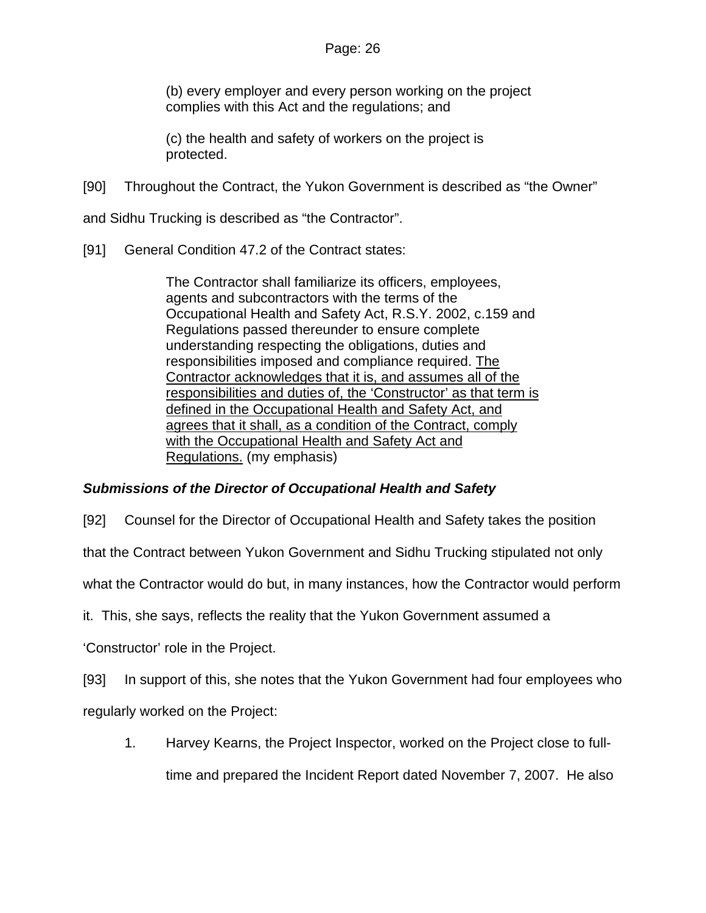(b) every employer and every person working on the project complies with this Act and the regulations; and

(c) the health and safety of workers on the project is protected.

[90] Throughout the Contract, the Yukon Government is described as "the Owner"

and Sidhu Trucking is described as "the Contractor".

[91] General Condition 47.2 of the Contract states:

The Contractor shall familiarize its officers, employees, agents and subcontractors with the terms of the Occupational Health and Safety Act, R.S.Y. 2002, c.159 and Regulations passed thereunder to ensure complete understanding respecting the obligations, duties and responsibilities imposed and compliance required. The Contractor acknowledges that it is, and assumes all of the responsibilities and duties of, the 'Constructor' as that term is defined in the Occupational Health and Safety Act, and agrees that it shall, as a condition of the Contract, comply with the Occupational Health and Safety Act and Regulations. (my emphasis)

#### *Submissions of the Director of Occupational Health and Safety*

[92] Counsel for the Director of Occupational Health and Safety takes the position

that the Contract between Yukon Government and Sidhu Trucking stipulated not only

what the Contractor would do but, in many instances, how the Contractor would perform

it. This, she says, reflects the reality that the Yukon Government assumed a

'Constructor' role in the Project.

[93] In support of this, she notes that the Yukon Government had four employees who

regularly worked on the Project:

1. Harvey Kearns, the Project Inspector, worked on the Project close to full-

time and prepared the Incident Report dated November 7, 2007. He also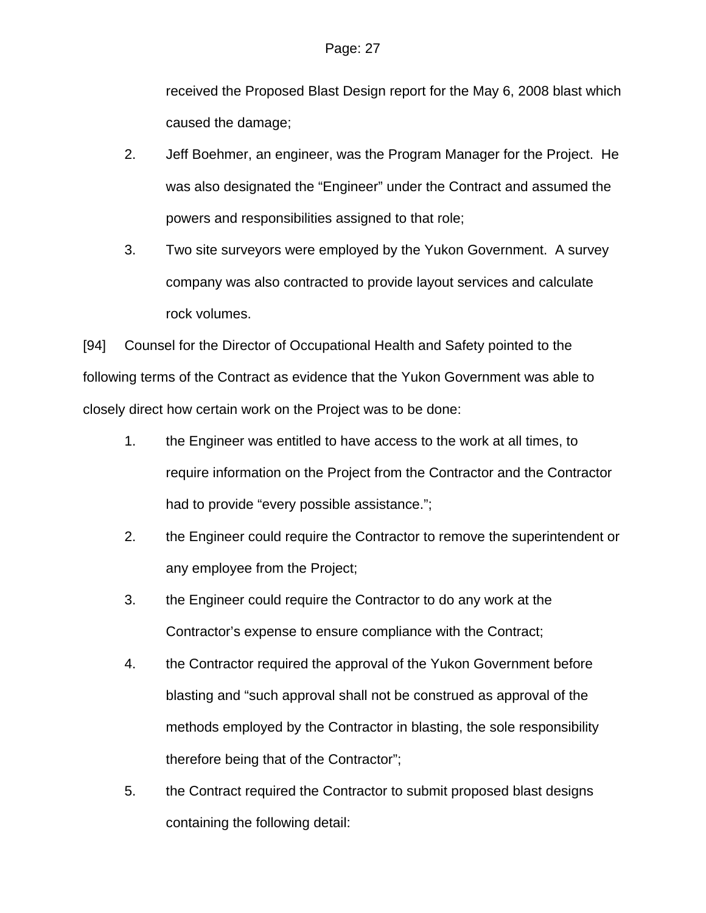received the Proposed Blast Design report for the May 6, 2008 blast which caused the damage;

- 2. Jeff Boehmer, an engineer, was the Program Manager for the Project. He was also designated the "Engineer" under the Contract and assumed the powers and responsibilities assigned to that role;
- 3. Two site surveyors were employed by the Yukon Government. A survey company was also contracted to provide layout services and calculate rock volumes.

[94] Counsel for the Director of Occupational Health and Safety pointed to the following terms of the Contract as evidence that the Yukon Government was able to closely direct how certain work on the Project was to be done:

- 1. the Engineer was entitled to have access to the work at all times, to require information on the Project from the Contractor and the Contractor had to provide "every possible assistance.";
- 2. the Engineer could require the Contractor to remove the superintendent or any employee from the Project;
- 3. the Engineer could require the Contractor to do any work at the Contractor's expense to ensure compliance with the Contract;
- 4. the Contractor required the approval of the Yukon Government before blasting and "such approval shall not be construed as approval of the methods employed by the Contractor in blasting, the sole responsibility therefore being that of the Contractor";
- 5. the Contract required the Contractor to submit proposed blast designs containing the following detail: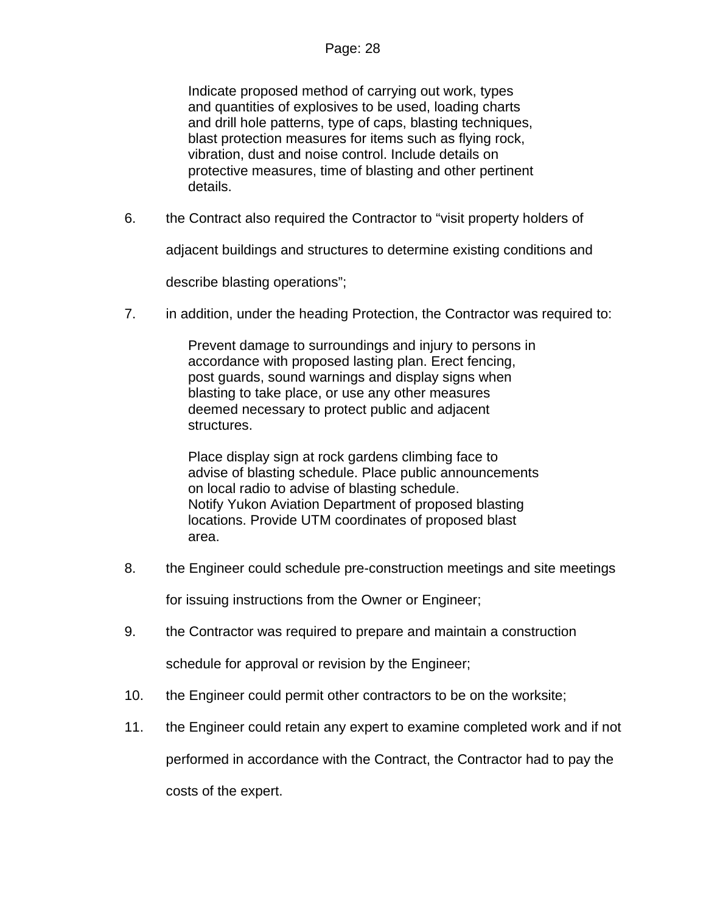Indicate proposed method of carrying out work, types and quantities of explosives to be used, loading charts and drill hole patterns, type of caps, blasting techniques, blast protection measures for items such as flying rock, vibration, dust and noise control. Include details on protective measures, time of blasting and other pertinent details.

6. the Contract also required the Contractor to "visit property holders of

adjacent buildings and structures to determine existing conditions and

describe blasting operations";

7. in addition, under the heading Protection, the Contractor was required to:

Prevent damage to surroundings and injury to persons in accordance with proposed lasting plan. Erect fencing, post guards, sound warnings and display signs when blasting to take place, or use any other measures deemed necessary to protect public and adjacent structures.

Place display sign at rock gardens climbing face to advise of blasting schedule. Place public announcements on local radio to advise of blasting schedule. Notify Yukon Aviation Department of proposed blasting locations. Provide UTM coordinates of proposed blast area.

8. the Engineer could schedule pre-construction meetings and site meetings

for issuing instructions from the Owner or Engineer;

9. the Contractor was required to prepare and maintain a construction

schedule for approval or revision by the Engineer;

- 10. the Engineer could permit other contractors to be on the worksite;
- 11. the Engineer could retain any expert to examine completed work and if not

performed in accordance with the Contract, the Contractor had to pay the costs of the expert.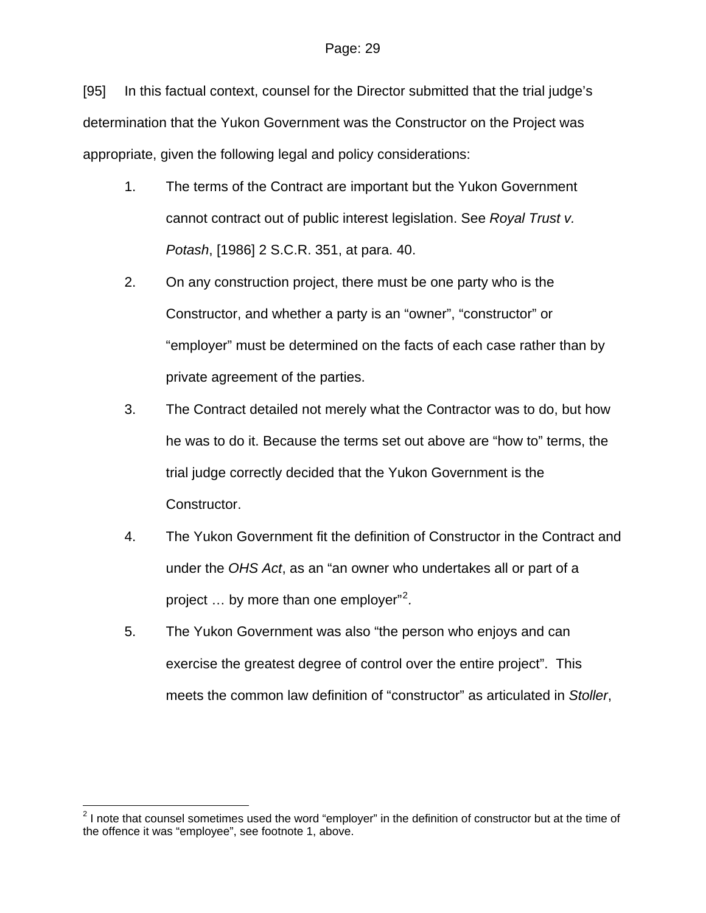[95] In this factual context, counsel for the Director submitted that the trial judge's determination that the Yukon Government was the Constructor on the Project was appropriate, given the following legal and policy considerations:

- 1. The terms of the Contract are important but the Yukon Government cannot contract out of public interest legislation. See *Royal Trust v. Potash*, [1986] 2 S.C.R. 351, at para. 40.
- 2. On any construction project, there must be one party who is the Constructor, and whether a party is an "owner", "constructor" or "employer" must be determined on the facts of each case rather than by private agreement of the parties.
- 3. The Contract detailed not merely what the Contractor was to do, but how he was to do it. Because the terms set out above are "how to" terms, the trial judge correctly decided that the Yukon Government is the Constructor.
- 4. The Yukon Government fit the definition of Constructor in the Contract and under the *OHS Act*, as an "an owner who undertakes all or part of a project … by more than one employer"[2](#page-28-0) *.*
- 5. The Yukon Government was also "the person who enjoys and can exercise the greatest degree of control over the entire project". This meets the common law definition of "constructor" as articulated in *Stoller*,

 $\overline{a}$ 

<span id="page-28-0"></span> $2$  I note that counsel sometimes used the word "employer" in the definition of constructor but at the time of the offence it was "employee", see footnote 1, above.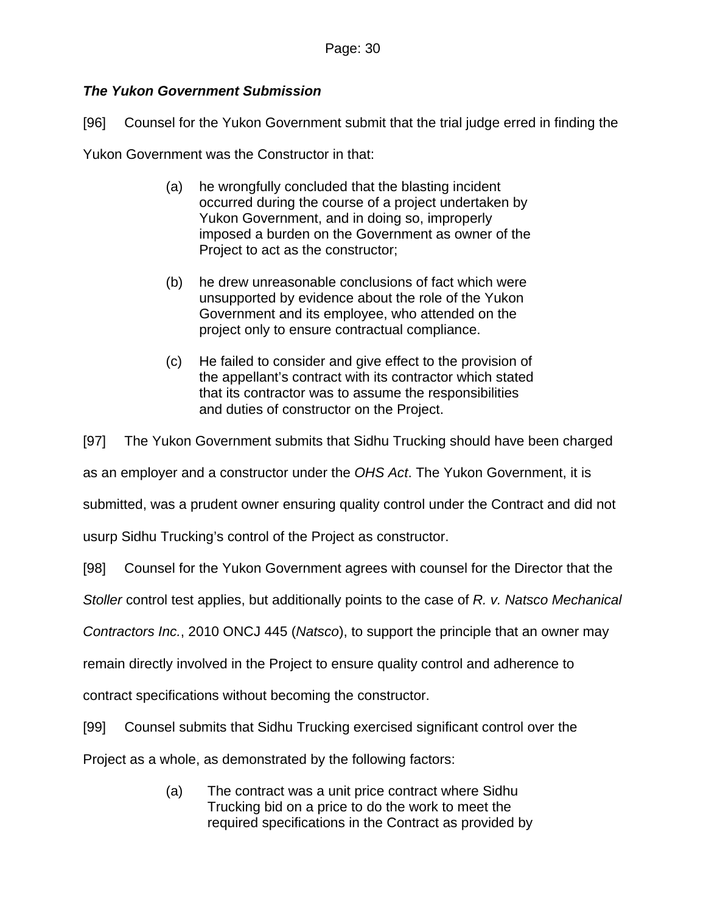#### *The Yukon Government Submission*

[96] Counsel for the Yukon Government submit that the trial judge erred in finding the

Yukon Government was the Constructor in that:

- (a) he wrongfully concluded that the blasting incident occurred during the course of a project undertaken by Yukon Government, and in doing so, improperly imposed a burden on the Government as owner of the Project to act as the constructor;
- (b) he drew unreasonable conclusions of fact which were unsupported by evidence about the role of the Yukon Government and its employee, who attended on the project only to ensure contractual compliance.
- (c) He failed to consider and give effect to the provision of the appellant's contract with its contractor which stated that its contractor was to assume the responsibilities and duties of constructor on the Project.

[97] The Yukon Government submits that Sidhu Trucking should have been charged

as an employer and a constructor under the *OHS Act*. The Yukon Government, it is

submitted, was a prudent owner ensuring quality control under the Contract and did not

usurp Sidhu Trucking's control of the Project as constructor.

[98] Counsel for the Yukon Government agrees with counsel for the Director that the

*Stoller* control test applies, but additionally points to the case of *R. v. Natsco Mechanical* 

*Contractors Inc.*, 2010 ONCJ 445 (*Natsco*), to support the principle that an owner may

remain directly involved in the Project to ensure quality control and adherence to

contract specifications without becoming the constructor.

[99] Counsel submits that Sidhu Trucking exercised significant control over the

Project as a whole, as demonstrated by the following factors:

(a) The contract was a unit price contract where Sidhu Trucking bid on a price to do the work to meet the required specifications in the Contract as provided by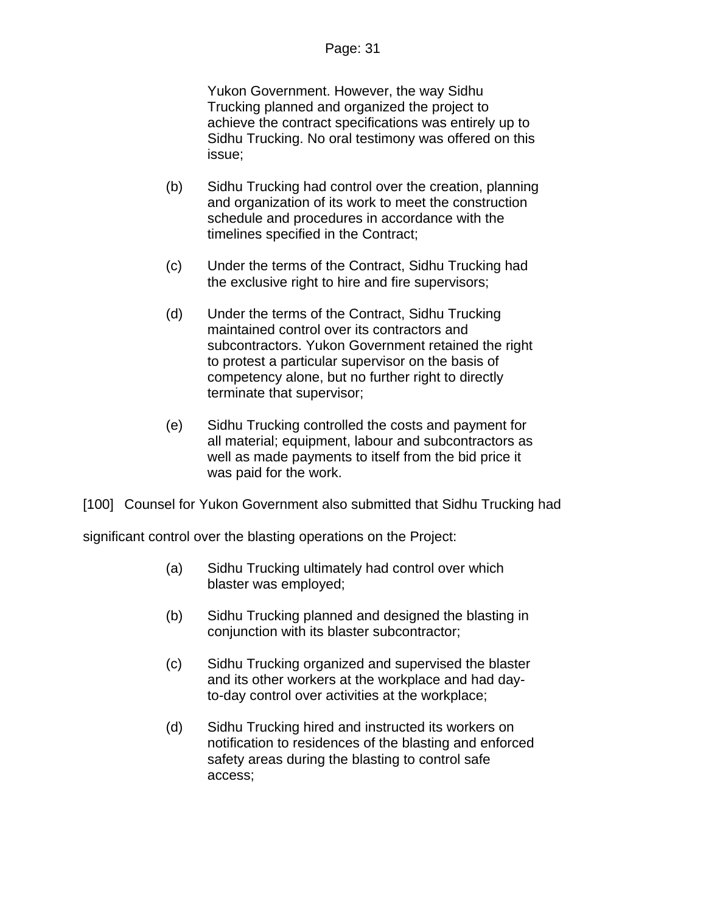#### Page: 31

Yukon Government. However, the way Sidhu Trucking planned and organized the project to achieve the contract specifications was entirely up to Sidhu Trucking. No oral testimony was offered on this issue;

- (b) Sidhu Trucking had control over the creation, planning and organization of its work to meet the construction schedule and procedures in accordance with the timelines specified in the Contract;
- (c) Under the terms of the Contract, Sidhu Trucking had the exclusive right to hire and fire supervisors;
- (d) Under the terms of the Contract, Sidhu Trucking maintained control over its contractors and subcontractors. Yukon Government retained the right to protest a particular supervisor on the basis of competency alone, but no further right to directly terminate that supervisor;
- (e) Sidhu Trucking controlled the costs and payment for all material; equipment, labour and subcontractors as well as made payments to itself from the bid price it was paid for the work.

[100] Counsel for Yukon Government also submitted that Sidhu Trucking had

significant control over the blasting operations on the Project:

- (a) Sidhu Trucking ultimately had control over which blaster was employed;
- (b) Sidhu Trucking planned and designed the blasting in conjunction with its blaster subcontractor;
- (c) Sidhu Trucking organized and supervised the blaster and its other workers at the workplace and had dayto-day control over activities at the workplace;
- (d) Sidhu Trucking hired and instructed its workers on notification to residences of the blasting and enforced safety areas during the blasting to control safe access;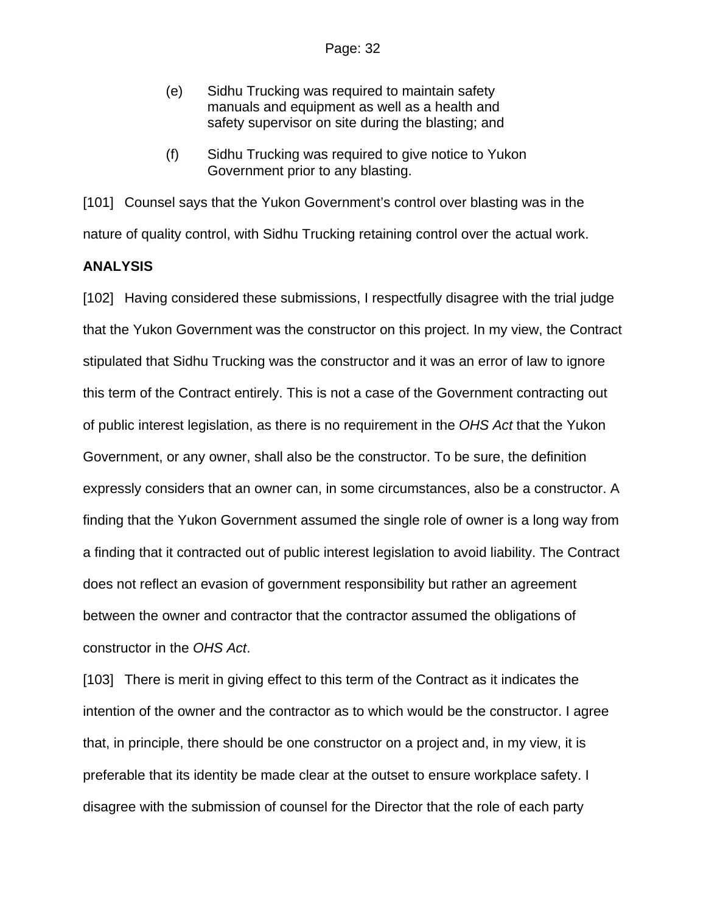- (e) Sidhu Trucking was required to maintain safety manuals and equipment as well as a health and safety supervisor on site during the blasting; and
- (f) Sidhu Trucking was required to give notice to Yukon Government prior to any blasting.

[101] Counsel says that the Yukon Government's control over blasting was in the nature of quality control, with Sidhu Trucking retaining control over the actual work.

#### **ANALYSIS**

[102] Having considered these submissions, I respectfully disagree with the trial judge that the Yukon Government was the constructor on this project. In my view, the Contract stipulated that Sidhu Trucking was the constructor and it was an error of law to ignore this term of the Contract entirely. This is not a case of the Government contracting out of public interest legislation, as there is no requirement in the *OHS Act* that the Yukon Government, or any owner, shall also be the constructor. To be sure, the definition expressly considers that an owner can, in some circumstances, also be a constructor. A finding that the Yukon Government assumed the single role of owner is a long way from a finding that it contracted out of public interest legislation to avoid liability. The Contract does not reflect an evasion of government responsibility but rather an agreement between the owner and contractor that the contractor assumed the obligations of constructor in the *OHS Act*.

[103] There is merit in giving effect to this term of the Contract as it indicates the intention of the owner and the contractor as to which would be the constructor. I agree that, in principle, there should be one constructor on a project and, in my view, it is preferable that its identity be made clear at the outset to ensure workplace safety. I disagree with the submission of counsel for the Director that the role of each party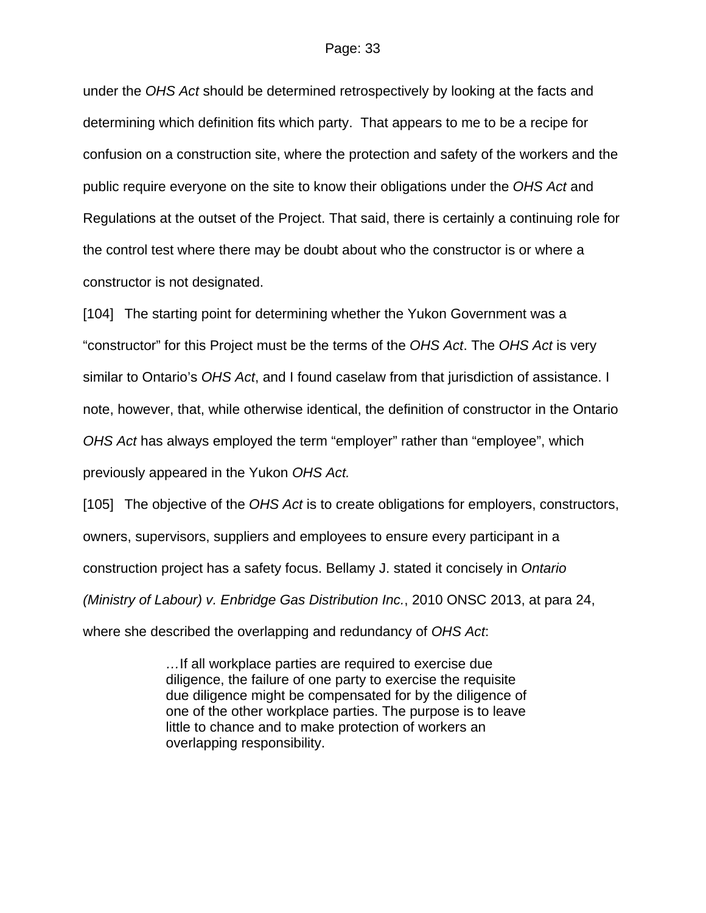under the *OHS Act* should be determined retrospectively by looking at the facts and determining which definition fits which party. That appears to me to be a recipe for confusion on a construction site, where the protection and safety of the workers and the public require everyone on the site to know their obligations under the *OHS Act* and Regulations at the outset of the Project. That said, there is certainly a continuing role for the control test where there may be doubt about who the constructor is or where a constructor is not designated.

[104] The starting point for determining whether the Yukon Government was a "constructor" for this Project must be the terms of the *OHS Act*. The *OHS Act* is very similar to Ontario's *OHS Act*, and I found caselaw from that jurisdiction of assistance. I note, however, that, while otherwise identical, the definition of constructor in the Ontario *OHS Act* has always employed the term "employer" rather than "employee", which previously appeared in the Yukon *OHS Act.* 

[105] The objective of the *OHS Act* is to create obligations for employers, constructors, owners, supervisors, suppliers and employees to ensure every participant in a construction project has a safety focus. Bellamy J. stated it concisely in *Ontario (Ministry of Labour) v. Enbridge Gas Distribution Inc.*, 2010 ONSC 2013, at para 24, where she described the overlapping and redundancy of *OHS Act*:

> *…*If all workplace parties are required to exercise due diligence, the failure of one party to exercise the requisite due diligence might be compensated for by the diligence of one of the other workplace parties. The purpose is to leave little to chance and to make protection of workers an overlapping responsibility.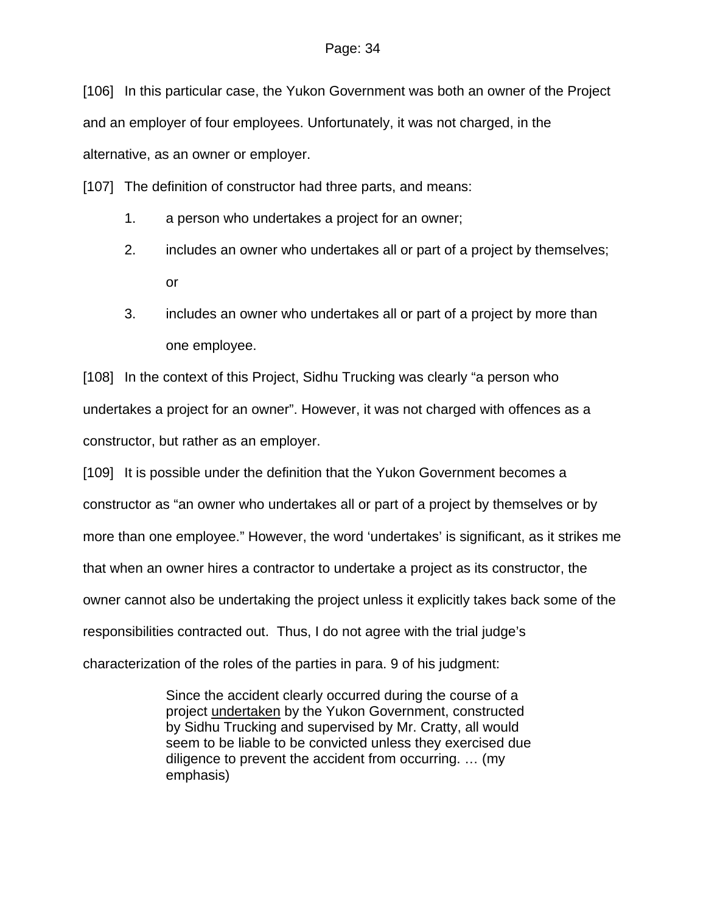[106] In this particular case, the Yukon Government was both an owner of the Project and an employer of four employees. Unfortunately, it was not charged, in the alternative, as an owner or employer.

[107] The definition of constructor had three parts, and means:

- 1. a person who undertakes a project for an owner;
- 2. includes an owner who undertakes all or part of a project by themselves; or
- 3. includes an owner who undertakes all or part of a project by more than one employee.

[108] In the context of this Project, Sidhu Trucking was clearly "a person who undertakes a project for an owner". However, it was not charged with offences as a constructor, but rather as an employer.

[109] It is possible under the definition that the Yukon Government becomes a constructor as "an owner who undertakes all or part of a project by themselves or by more than one employee." However, the word 'undertakes' is significant, as it strikes me that when an owner hires a contractor to undertake a project as its constructor, the owner cannot also be undertaking the project unless it explicitly takes back some of the responsibilities contracted out. Thus, I do not agree with the trial judge's characterization of the roles of the parties in para. 9 of his judgment:

> Since the accident clearly occurred during the course of a project undertaken by the Yukon Government, constructed by Sidhu Trucking and supervised by Mr. Cratty, all would seem to be liable to be convicted unless they exercised due diligence to prevent the accident from occurring. … (my emphasis)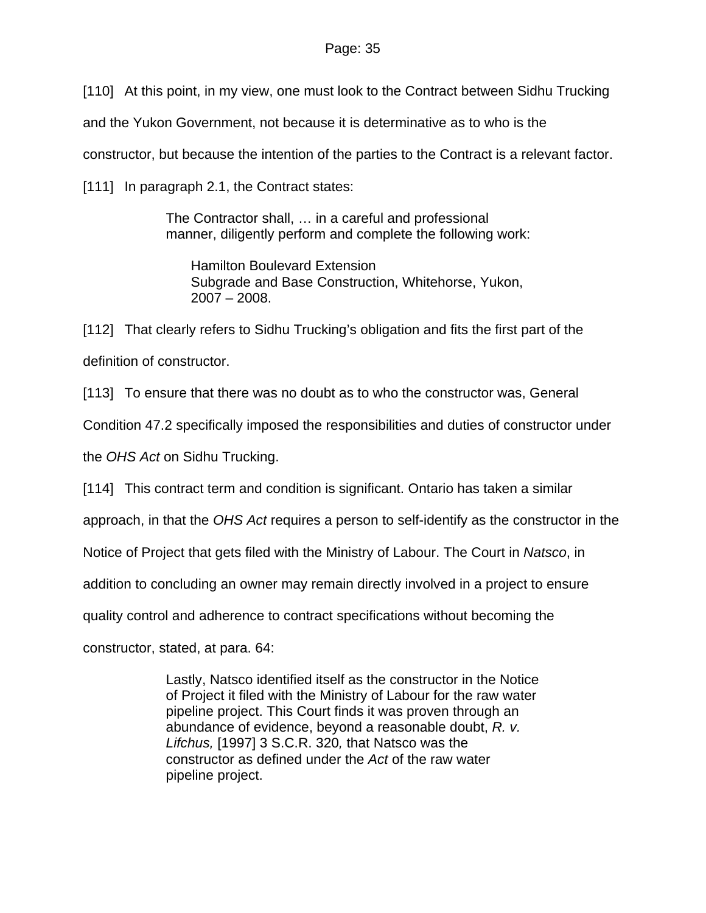[110] At this point, in my view, one must look to the Contract between Sidhu Trucking

and the Yukon Government, not because it is determinative as to who is the

constructor, but because the intention of the parties to the Contract is a relevant factor.

[111] In paragraph 2.1, the Contract states:

The Contractor shall, … in a careful and professional manner, diligently perform and complete the following work:

Hamilton Boulevard Extension Subgrade and Base Construction, Whitehorse, Yukon, 2007 – 2008.

[112] That clearly refers to Sidhu Trucking's obligation and fits the first part of the definition of constructor.

[113] To ensure that there was no doubt as to who the constructor was, General

Condition 47.2 specifically imposed the responsibilities and duties of constructor under

the *OHS Act* on Sidhu Trucking.

[114] This contract term and condition is significant. Ontario has taken a similar

approach, in that the *OHS Act* requires a person to self-identify as the constructor in the

Notice of Project that gets filed with the Ministry of Labour. The Court in *Natsco*, in

addition to concluding an owner may remain directly involved in a project to ensure

quality control and adherence to contract specifications without becoming the

constructor, stated, at para. 64:

Lastly, Natsco identified itself as the constructor in the Notice of Project it filed with the Ministry of Labour for the raw water pipeline project. This Court finds it was proven through an abundance of evidence, beyond a reasonable doubt, *R. v. Lifchus,* [\[1997\] 3 S.C.R. 320](http://www.lexisnexis.com/ca/legal/search/runRemoteLink.do?langcountry=CA&linkInfo=F%23CA%23SCR%23sel2%253%25year%251997%25page%25320%25sel1%251997%25vol%253%25&risb=21_T14733451705&bct=A&service=citation&A=0.038317750980822685)*,* that Natsco was the constructor as defined under the *Act* of the raw water pipeline project.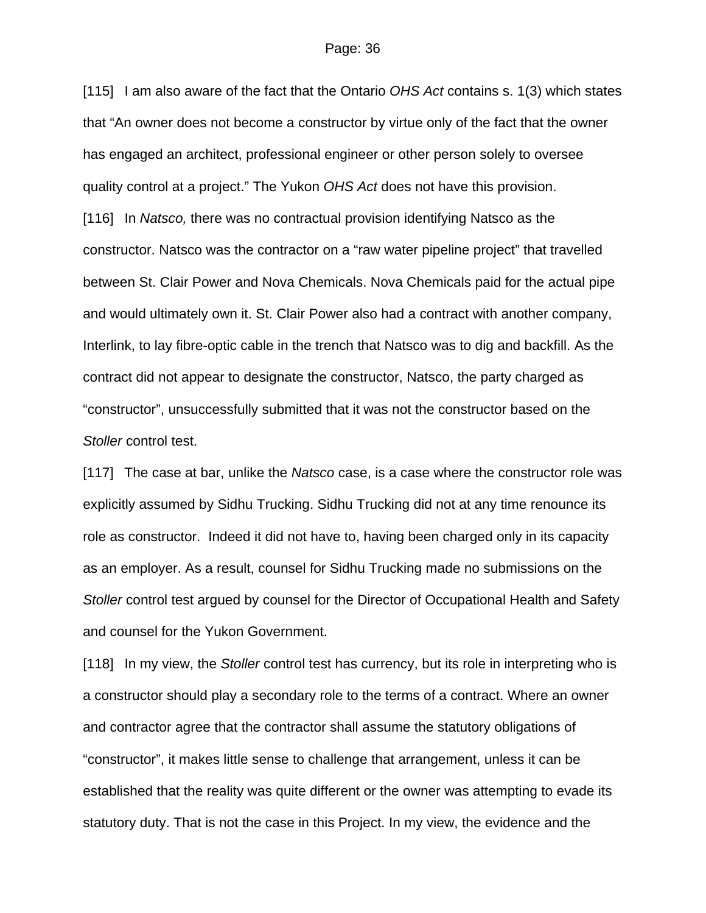[115] I am also aware of the fact that the Ontario *OHS Act* contains s. 1(3) which states that "An owner does not become a constructor by virtue only of the fact that the owner has engaged an architect, professional engineer or other person solely to oversee quality control at a project." The Yukon *OHS Act* does not have this provision. [116] In *Natsco,* there was no contractual provision identifying Natsco as the constructor. Natsco was the contractor on a "raw water pipeline project" that travelled between St. Clair Power and Nova Chemicals. Nova Chemicals paid for the actual pipe and would ultimately own it. St. Clair Power also had a contract with another company, Interlink, to lay fibre-optic cable in the trench that Natsco was to dig and backfill. As the contract did not appear to designate the constructor, Natsco, the party charged as "constructor", unsuccessfully submitted that it was not the constructor based on the *Stoller* control test.

[117] The case at bar, unlike the *Natsco* case, is a case where the constructor role was explicitly assumed by Sidhu Trucking. Sidhu Trucking did not at any time renounce its role as constructor. Indeed it did not have to, having been charged only in its capacity as an employer. As a result, counsel for Sidhu Trucking made no submissions on the *Stoller* control test argued by counsel for the Director of Occupational Health and Safety and counsel for the Yukon Government.

[118] In my view, the *Stoller* control test has currency, but its role in interpreting who is a constructor should play a secondary role to the terms of a contract. Where an owner and contractor agree that the contractor shall assume the statutory obligations of "constructor", it makes little sense to challenge that arrangement, unless it can be established that the reality was quite different or the owner was attempting to evade its statutory duty. That is not the case in this Project. In my view, the evidence and the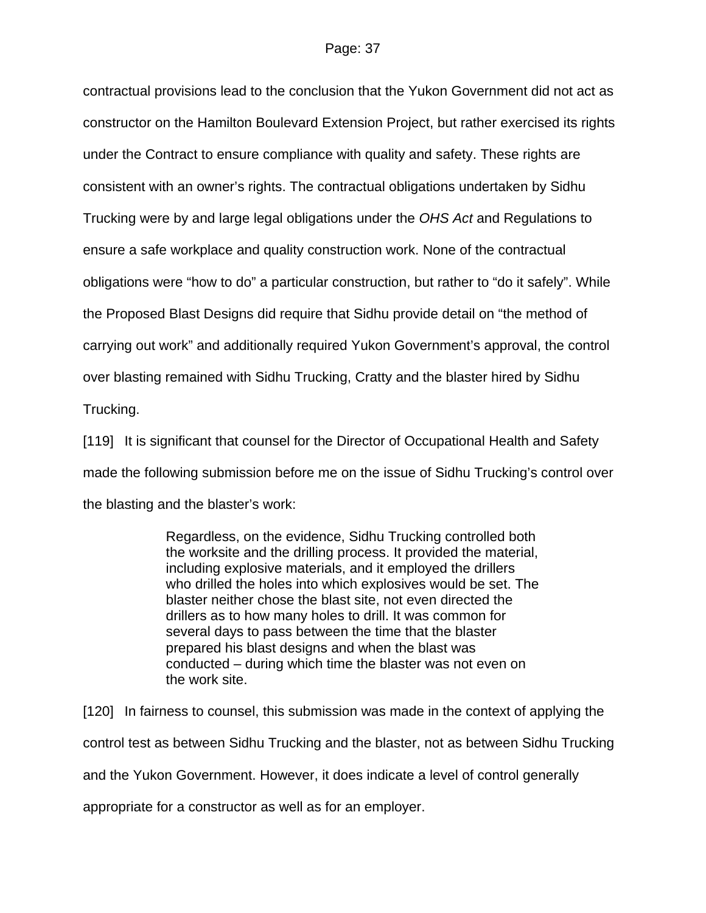contractual provisions lead to the conclusion that the Yukon Government did not act as constructor on the Hamilton Boulevard Extension Project, but rather exercised its rights under the Contract to ensure compliance with quality and safety. These rights are consistent with an owner's rights. The contractual obligations undertaken by Sidhu Trucking were by and large legal obligations under the *OHS Act* and Regulations to ensure a safe workplace and quality construction work. None of the contractual obligations were "how to do" a particular construction, but rather to "do it safely". While the Proposed Blast Designs did require that Sidhu provide detail on "the method of carrying out work" and additionally required Yukon Government's approval, the control over blasting remained with Sidhu Trucking, Cratty and the blaster hired by Sidhu Trucking.

[119] It is significant that counsel for the Director of Occupational Health and Safety made the following submission before me on the issue of Sidhu Trucking's control over the blasting and the blaster's work:

> Regardless, on the evidence, Sidhu Trucking controlled both the worksite and the drilling process. It provided the material, including explosive materials, and it employed the drillers who drilled the holes into which explosives would be set. The blaster neither chose the blast site, not even directed the drillers as to how many holes to drill. It was common for several days to pass between the time that the blaster prepared his blast designs and when the blast was conducted – during which time the blaster was not even on the work site.

[120] In fairness to counsel, this submission was made in the context of applying the control test as between Sidhu Trucking and the blaster, not as between Sidhu Trucking and the Yukon Government. However, it does indicate a level of control generally appropriate for a constructor as well as for an employer.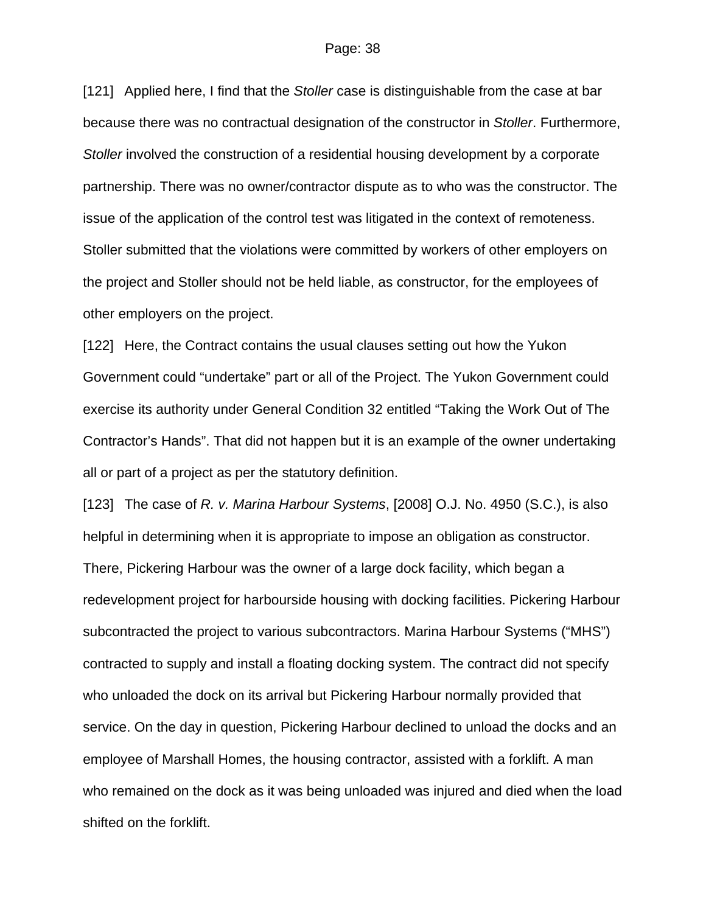[121] Applied here, I find that the *Stoller* case is distinguishable from the case at bar because there was no contractual designation of the constructor in *Stoller*. Furthermore, *Stoller* involved the construction of a residential housing development by a corporate partnership. There was no owner/contractor dispute as to who was the constructor. The issue of the application of the control test was litigated in the context of remoteness. Stoller submitted that the violations were committed by workers of other employers on the project and Stoller should not be held liable, as constructor, for the employees of other employers on the project.

[122] Here, the Contract contains the usual clauses setting out how the Yukon Government could "undertake" part or all of the Project. The Yukon Government could exercise its authority under General Condition 32 entitled "Taking the Work Out of The Contractor's Hands". That did not happen but it is an example of the owner undertaking all or part of a project as per the statutory definition.

[123] The case of *R. v. Marina Harbour Systems*, [2008] O.J. No. 4950 (S.C.), is also helpful in determining when it is appropriate to impose an obligation as constructor. There, Pickering Harbour was the owner of a large dock facility, which began a redevelopment project for harbourside housing with docking facilities. Pickering Harbour subcontracted the project to various subcontractors. Marina Harbour Systems ("MHS") contracted to supply and install a floating docking system. The contract did not specify who unloaded the dock on its arrival but Pickering Harbour normally provided that service. On the day in question, Pickering Harbour declined to unload the docks and an employee of Marshall Homes, the housing contractor, assisted with a forklift. A man who remained on the dock as it was being unloaded was injured and died when the load shifted on the forklift.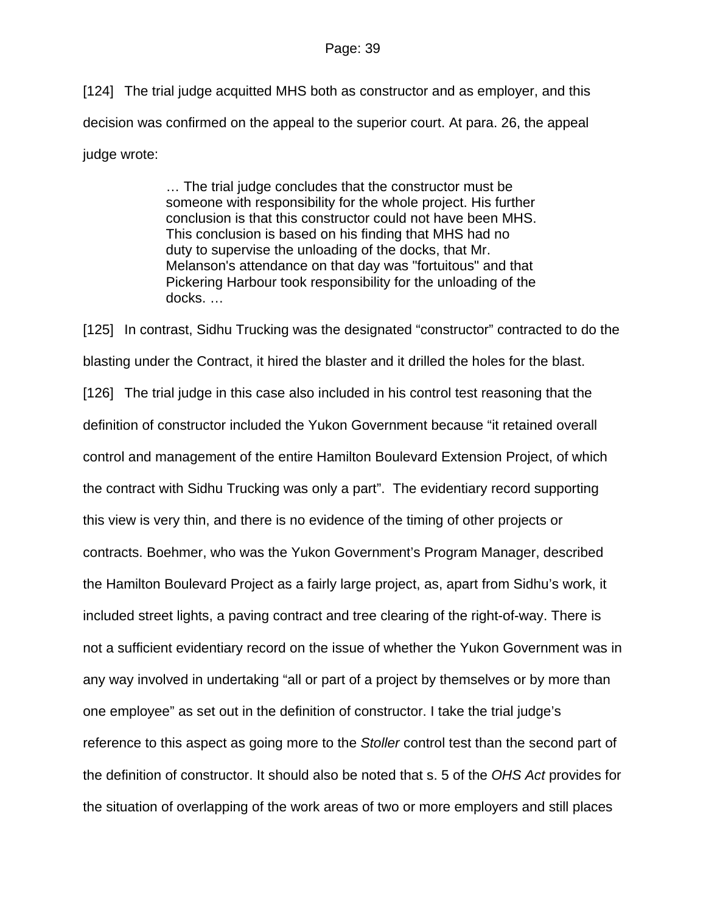[124] The trial judge acquitted MHS both as constructor and as employer, and this decision was confirmed on the appeal to the superior court. At para. 26, the appeal judge wrote:

> … The trial judge concludes that the constructor must be someone with responsibility for the whole project. His further conclusion is that this constructor could not have been MHS. This conclusion is based on his finding that MHS had no duty to supervise the unloading of the docks, that Mr. Melanson's attendance on that day was "fortuitous" and that Pickering Harbour took responsibility for the unloading of the docks. …

[125] In contrast, Sidhu Trucking was the designated "constructor" contracted to do the blasting under the Contract, it hired the blaster and it drilled the holes for the blast. [126] The trial judge in this case also included in his control test reasoning that the definition of constructor included the Yukon Government because "it retained overall control and management of the entire Hamilton Boulevard Extension Project, of which the contract with Sidhu Trucking was only a part". The evidentiary record supporting this view is very thin, and there is no evidence of the timing of other projects or contracts. Boehmer, who was the Yukon Government's Program Manager, described the Hamilton Boulevard Project as a fairly large project, as, apart from Sidhu's work, it included street lights, a paving contract and tree clearing of the right-of-way. There is not a sufficient evidentiary record on the issue of whether the Yukon Government was in any way involved in undertaking "all or part of a project by themselves or by more than one employee" as set out in the definition of constructor. I take the trial judge's reference to this aspect as going more to the *Stoller* control test than the second part of the definition of constructor. It should also be noted that s. 5 of the *OHS Act* provides for the situation of overlapping of the work areas of two or more employers and still places